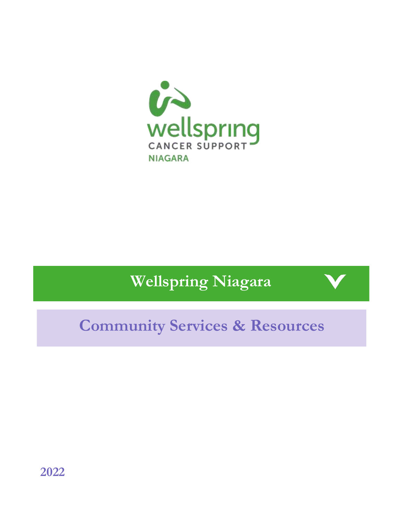

# **Wellspring Niagara**

# **Community Services & Resources**

**2022**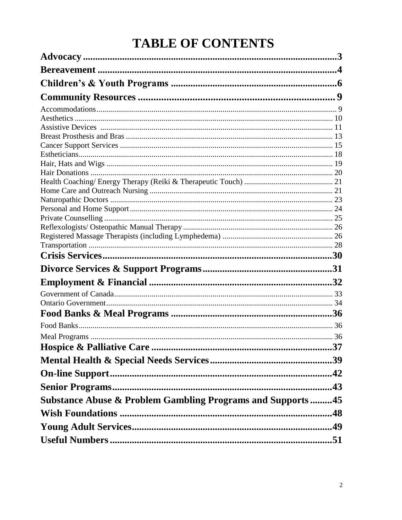# **TABLE OF CONTENTS**

| <b>Substance Abuse &amp; Problem Gambling Programs and Supports45</b> |
|-----------------------------------------------------------------------|
|                                                                       |
|                                                                       |
|                                                                       |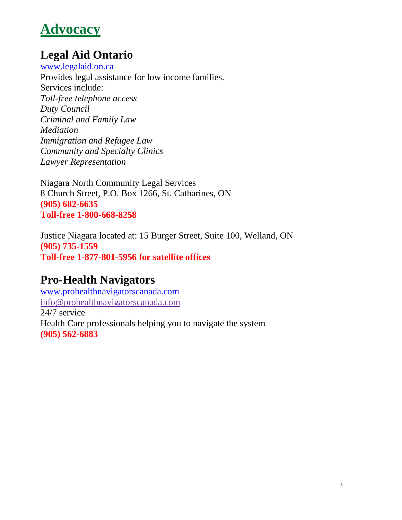# <span id="page-2-0"></span>**Advocacy**

## **Legal Aid Ontario**

[www.legalaid.on.ca](http://www.legalaid.on.ca/) Provides legal assistance for low income families. Services include: *Toll-free telephone access Duty Council Criminal and Family Law Mediation Immigration and Refugee Law Community and Specialty Clinics Lawyer Representation*

Niagara North Community Legal Services 8 Church Street, P.O. Box 1266, St. Catharines, ON **(905) 682-6635 Toll-free 1-800-668-8258**

Justice Niagara located at: 15 Burger Street, Suite 100, Welland, ON **(905) 735-1559 Toll-free 1-877-801-5956 for satellite offices**

### **Pro-Health Navigators**

[www.prohealthnavigatorscanada.com](http://www.prohealthnavigatorscanada.com/) [info@prohealthnavigatorscanada.com](mailto:info@prohealthnavigatorscanada.com) 24/7 service Health Care professionals helping you to navigate the system **(905) 562-6883**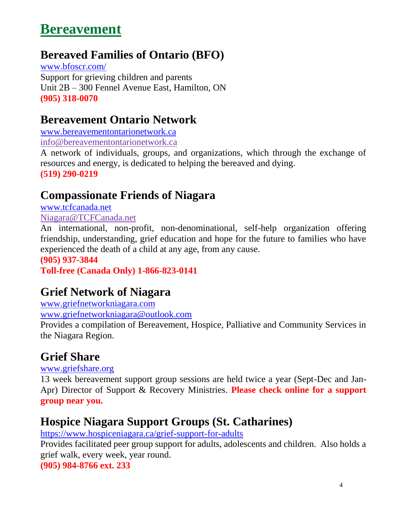# <span id="page-3-0"></span>**Bereavement**

## **Bereaved Families of Ontario (BFO)**

[www.bfoscr.com/](https://www.bfoscr.com/) Support for grieving children and parents Unit 2B – 300 Fennel Avenue East, Hamilton, ON **(905) 318-0070**

### **Bereavement Ontario Network**

[www.bereavementontarionetwork.ca](http://www.bereavementontarionetwork.ca/) [info@bereavementontarionetwork.ca](mailto:info@bereavementontarionetwork.ca)

A network of individuals, groups, and organizations, which through the exchange of resources and energy, is dedicated to helping the bereaved and dying. **(519) 290-0219**

## **Compassionate Friends of Niagara**

[www.tcfcanada.net](http://www.tcfcanada.net/)

[Niagara@TCFCanada.net](mailto:Niagara@TCFCanada.net)

An international, non-profit, non-denominational, self-help organization offering friendship, understanding, grief education and hope for the future to families who have experienced the death of a child at any age, from any cause.

**(905) 937-3844 Toll-free (Canada Only) 1-866-823-0141**

## **Grief Network of Niagara**

[www.griefnetworkniagara.com](http://www.griefnetworkniagara.com/)

[www.griefnetworkniagara@outlook.com](http://www.griefnetworkniagara@outlook.com)

Provides a compilation of Bereavement, Hospice, Palliative and Community Services in the Niagara Region.

## **Grief Share**

[www.griefshare.org](http://www.griefshare.org/)

13 week bereavement support group sessions are held twice a year (Sept-Dec and Jan-Apr) Director of Support & Recovery Ministries. **Please check online for a support group near you.**

## **Hospice Niagara Support Groups (St. Catharines)**

<https://www.hospiceniagara.ca/grief-support-for-adults>

Provides facilitated peer group support for adults, adolescents and children. Also holds a grief walk, every week, year round.

**(905) 984-8766 ext. 233**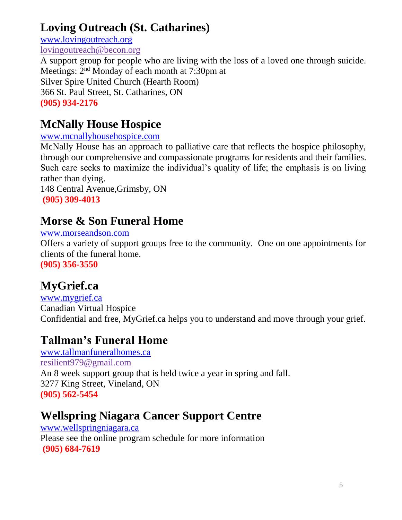## <span id="page-4-0"></span>**Loving Outreach (St. Catharines)**

[www.lovingo](http://www.loving/)utreach.org [lovingoutreach@becon.org](mailto:lovingoutreach@becon.org) A support group for people who are living with the loss of a loved one through suicide. Meetings: 2nd Monday of each month at 7:30pm at Silver Spire United Church (Hearth Room) 366 St. Paul Street, St. Catharines, ON **(905) 934-2176**

## **McNally House Hospice**

#### [www.mcnallyhousehospice.com](file:///C:/Users/szigattik/AppData/Roaming/Microsoft/Word/www.mcnallyhousehospice.com)

McNally House has an approach to palliative care that reflects the hospice philosophy, through our comprehensive and compassionate programs for residents and their families. Such care seeks to maximize the individual's quality of life; the emphasis is on living rather than dying.

148 Central Avenue,Grimsby, ON **(905) 309-4013**

## **Morse & Son Funeral Home**

#### [www.morseandson.com](http://www.morseandson.com/)

Offers a variety of support groups free to the community. One on one appointments for clients of the funeral home.

**(905) 356-3550**

## **MyGrief.ca**

[www.mygrief.ca](http://www.mygrief.ca/) Canadian Virtual Hospice Confidential and free, MyGrief.ca helps you to understand and move through your grief.

### **Tallman's Funeral Home**

[www.tallmanfuneralhomes.ca](http://www.tallmanfuneralhomes.ca/) [resilient979@gmail.com](mailto:resilient979@gmail.com) An 8 week support group that is held twice a year in spring and fall. 3277 King Street, Vineland, ON **(905) 562-5454**

## **Wellspring Niagara Cancer Support Centre**

[www.wellspringniagara.ca](http://www.wellspringniagara.ca/) Please see the online program schedule for more information **(905) 684-7619**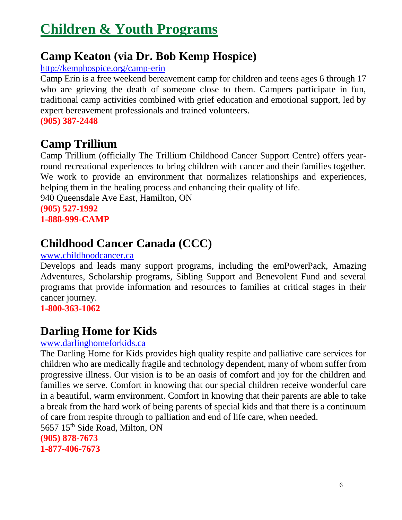# **[Children & Youth Programs](#page-4-0)**

## **Camp Keaton (via Dr. Bob Kemp Hospice)**

#### [http://kemphospice.org/camp-erin](https://kemphospice.org/services/camp-keaton/)

Camp Erin is a free weekend bereavement camp for children and teens ages 6 through 17 who are grieving the death of someone close to them. Campers participate in fun, traditional camp activities combined with grief education and emotional support, led by expert bereavement professionals and trained volunteers. **(905) 387-2448**

### **Camp Trillium**

Camp Trillium (officially The Trillium Childhood Cancer Support Centre) offers yearround recreational experiences to bring children with cancer and their families together. We work to provide an environment that normalizes relationships and experiences, helping them in the healing process and enhancing their quality of life.

940 Queensdale Ave East, Hamilton, ON

**(905) 527-1992 1-888-999-CAMP**

## **Childhood Cancer Canada (CCC)**

#### [www.childhoodcancer.ca](http://www.childhoodcancer.ca/)

Develops and leads many support programs, including the emPowerPack, Amazing Adventures, Scholarship programs, Sibling Support and Benevolent Fund and several programs that provide information and resources to families at critical stages in their cancer journey.

**1-800-363-1062**

### **Darling Home for Kids**

#### [www.darlinghomeforkids.ca](http://www.darlinghomeforkids.ca/)

The Darling Home for Kids provides high quality respite and palliative care services for children who are medically fragile and technology dependent, many of whom suffer from progressive illness. Our vision is to be an oasis of comfort and joy for the children and families we serve. Comfort in knowing that our special children receive wonderful care in a beautiful, warm environment. Comfort in knowing that their parents are able to take a break from the hard work of being parents of special kids and that there is a continuum of care from respite through to palliation and end of life care, when needed. 5657 15th Side Road, Milton, ON **(905) 878-7673**

**1-877-406-7673**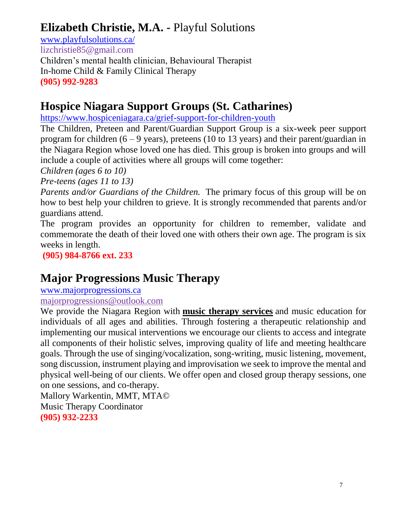## **Elizabeth Christie, M.A. -** Playful Solutions

[www.playfulsolutions.ca/](http://www.playfulsolutions.ca/) lizchristie85@gmail.com Children's mental health clinician, Behavioural Therapist In-home Child & Family Clinical Therapy **(905) 992-9283**

## **Hospice Niagara Support Groups (St. Catharines)**

<https://www.hospiceniagara.ca/grief-support-for-children-youth>

The Children, Preteen and Parent/Guardian Support Group is a six-week peer support program for children  $(6 - 9$  years), preteens (10 to 13 years) and their parent/guardian in the Niagara Region whose loved one has died. This group is broken into groups and will include a couple of activities where all groups will come together:

*Children (ages 6 to 10)*

*Pre-teens (ages 11 to 13)*

*Parents and/or Guardians of the Children.* The primary focus of this group will be on how to best help your children to grieve. It is strongly recommended that parents and/or guardians attend.

The program provides an opportunity for children to remember, validate and commemorate the death of their loved one with others their own age. The program is six weeks in length.

**(905) 984-8766 ext. 233**

## **Major Progressions Music Therapy**

[www.majorprogressions.ca](http://www.majorprogressions.ca/)

[majorprogressions@outlook.com](mailto:majorprogressions@outlook.com)

We provide the Niagara Region with **music [therapy](http://majorprogressions.ca/services/) services** and music education for individuals of all ages and abilities. Through fostering a therapeutic relationship and implementing our musical interventions we encourage our clients to access and integrate all components of their holistic selves, improving quality of life and meeting healthcare goals. Through the use of singing/vocalization, song-writing, music listening, movement, song discussion, instrument playing and improvisation we seek to improve the mental and physical well-being of our clients. We offer open and closed group therapy sessions, one on one sessions, and co-therapy*.*

Mallory Warkentin, MMT, MTA© Music Therapy Coordinator **(905) 932-2233**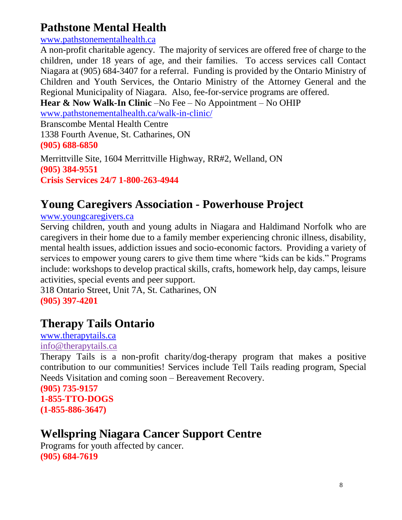## <span id="page-7-0"></span>**Pathstone Mental Health**

#### [www.pathstonementalhealth.ca](http://www.pathstonementalhealth.ca/)

A non-profit charitable agency. The majority of services are offered free of charge to the children, under 18 years of age, and their families. To access services call Contact Niagara at (905) 684-3407 for a referral. Funding is provided by the Ontario Ministry of Children and Youth Services, the Ontario Ministry of the Attorney General and the Regional Municipality of Niagara. Also, fee-for-service programs are offered.

**Hear & Now Walk-In Clinic** –No Fee – No Appointment – No OHIP

[www.pathstonementalhealth.ca/walk-in-clinic/](http://www.pathstonementalhealth.ca/walk-in-clinic/) Branscombe Mental Health Centre 1338 Fourth Avenue, St. Catharines, ON **(905) 688-6850**

Merrittville Site, 1604 Merrittville Highway, RR#2, Welland, ON **(905) 384-9551 Crisis Services 24/7 1-800-263-4944**

### **Young Caregivers Association - Powerhouse Project**

[www.youngcaregivers.ca](http://www.youngcaregivers.ca/)

Serving children, youth and young adults in Niagara and Haldimand Norfolk who are caregivers in their home due to a family member experiencing chronic illness, disability, mental health issues, addiction issues and socio-economic factors. Providing a variety of services to empower young carers to give them time where "kids can be kids." Programs include: workshops to develop practical skills, crafts, homework help, day camps, leisure activities, special events and peer support.

318 Ontario Street, Unit 7A, St. Catharines, ON **(905) 397-4201**

## **Therapy Tails Ontario**

### [www.therapytails.ca](http://www.therapytails.ca/)

#### [info@therapytails.ca](mailto:info@therapytails.ca)

Therapy Tails is a non-profit charity/dog-therapy program that makes a positive contribution to our communities! Services include Tell Tails reading program, Special Needs Visitation and coming soon – Bereavement Recovery.

**(905) 735-9157 1-855-TTO-DOGS (1-855-886-3647)**

## **Wellspring Niagara Cancer Support Centre**

Programs for youth affected by cancer. **(905) 684-7619**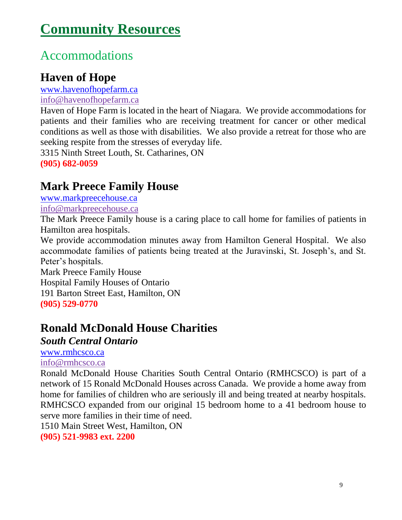# <span id="page-8-0"></span>**[Community Resources](#page-7-0)**

## Accommodations

### **Haven of Hope**

[www.havenofhopefarm.ca](http://www.havenofhopefarm.ca/)

#### [info@havenofhopefarm.ca](mailto:info@havenofhopefarm.ca)

Haven of Hope Farm is located in the heart of Niagara. We provide accommodations for patients and their families who are receiving treatment for cancer or other medical conditions as well as those with disabilities. We also provide a retreat for those who are seeking respite from the stresses of everyday life.

3315 Ninth Street Louth, St. Catharines, ON **(905) 682-0059**

### **Mark Preece Family House**

[www.markpreecehouse.ca](http://www.markpreecehouse.ca/)

[info@markpreecehouse.ca](mailto:info@markpreecehouse.ca)

The Mark Preece Family house is a caring place to call home for families of patients in Hamilton area hospitals.

We provide accommodation minutes away from Hamilton General Hospital. We also accommodate families of patients being treated at the Juravinski, St. Joseph's, and St. Peter's hospitals.

Mark Preece Family House

Hospital Family Houses of Ontario

191 Barton Street East, Hamilton, ON

**(905) 529-0770**

## **Ronald McDonald House Charities**

#### *South Central Ontario*

[www.rmhcsco.ca](http://www.rmhcsco.ca/)

[info@rmhcsco.ca](mailto:info@rmhcsco.ca)

Ronald McDonald House Charities South Central Ontario (RMHCSCO) is part of a network of 15 Ronald McDonald Houses across Canada. We provide a home away from home for families of children who are seriously ill and being treated at nearby hospitals. RMHCSCO expanded from our original 15 bedroom home to a 41 bedroom house to serve more families in their time of need.

1510 Main Street West, Hamilton, ON

**(905) 521-9983 ext. 2200**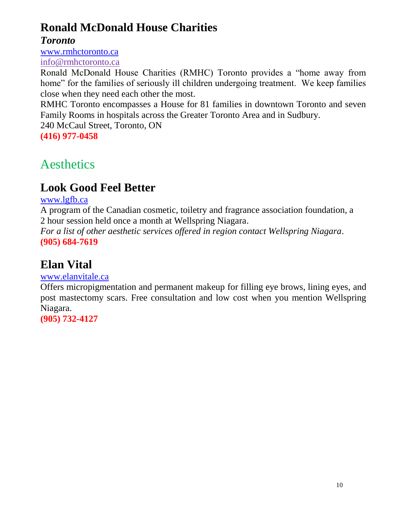## <span id="page-9-0"></span>**Ronald McDonald House Charities**

#### *Toronto*

[www.rmhctoronto.ca](http://www.rmhctoronto.ca/) [info@rmhctoronto.ca](mailto:info@rmhctoronto.ca)

Ronald McDonald House Charities (RMHC) Toronto provides a "home away from home" for the families of seriously ill children undergoing treatment. We keep families close when they need each other the most.

RMHC Toronto encompasses a House for 81 families in downtown Toronto and seven Family Rooms in hospitals across the Greater Toronto Area and in Sudbury.

240 McCaul Street, Toronto, ON

**(416) 977-0458**

## Aesthetics

## **Look Good Feel Better**

#### [www.lgfb.ca](http://www.lgfb.ca/)

A program of the Canadian cosmetic, toiletry and fragrance association foundation, a 2 hour session held once a month at Wellspring Niagara.

*For a list of other aesthetic services offered in region contact Wellspring Niagara*. **(905) 684-7619**

## **Elan Vital**

#### [www.elanvitale.ca](http://www.elanvitale.ca/)

Offers micropigmentation and permanent makeup for filling eye brows, lining eyes, and post mastectomy scars. Free consultation and low cost when you mention Wellspring Niagara.

**(905) 732-4127**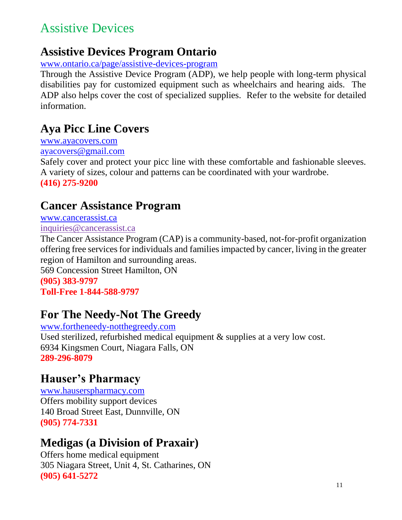## <span id="page-10-0"></span>Assistive Devices

## **Assistive Devices Program Ontario**

[www.ontario.ca/page/assistive-devices-program](http://www.ontario.ca/page/assistive-devices-program)

Through the Assistive Device Program (ADP), we help people with long-term physical disabilities pay for customized equipment such as wheelchairs and hearing aids. The ADP also helps cover the cost of specialized supplies. Refer to the website for detailed information.

### **Aya Picc Line Covers**

[www.ayacovers.com](http://www.ontario.ca/page/assistive-devices-program) ayacovers@gmail.com

Safely cover and protect your picc line with these comfortable and fashionable sleeves. A variety of sizes, colour and patterns can be coordinated with your wardrobe. **(416) 275-9200**

## **Cancer Assistance Program**

[www.cancerassist.ca](http://www.cancerassist.ca/)

inquiries@cancerassist.ca

The Cancer Assistance Program (CAP) is a community-based, not-for-profit organization offering free services for individuals and families impacted by cancer, living in the greater region of Hamilton and surrounding areas.

569 Concession Street Hamilton, ON **(905) 383-9797**

**Toll-Free 1-844-588-9797**

## **For The Needy-Not The Greedy**

[www.fortheneedy-notthegreedy.com](http://www.fortheneedy-notthegreedy.com/) Used sterilized, refurbished medical equipment & supplies at a very low cost. 6934 Kingsmen Court, Niagara Falls, ON **289-296-8079**

## **Hauser's Pharmacy**

[www.hauserspharmacy.com](http://www.hauserspharmacy.com/) Offers mobility support devices 140 Broad Street East, Dunnville, ON **(905) 774-7331**

## **Medigas (a Division of Praxair)**

Offers home medical equipment 305 Niagara Street, Unit 4, St. Catharines, ON **(905) 641-5272**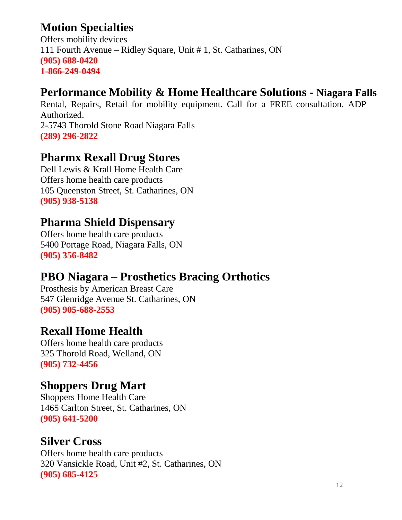## **Motion Specialties**

Offers mobility devices 111 Fourth Avenue – Ridley Square, Unit # 1, St. Catharines, ON **(905) 688-0420 1-866-249-0494**

## **Performance Mobility & Home Healthcare Solutions - Niagara Falls**

Rental, Repairs, Retail for mobility equipment. Call for a FREE consultation. ADP Authorized. 2-5743 Thorold Stone Road Niagara Falls

**(289) 296-2822**

### **Pharmx Rexall Drug Stores**

Dell Lewis & Krall Home Health Care Offers home health care products 105 Queenston Street, St. Catharines, ON **(905) 938-5138**

### **Pharma Shield Dispensary**

Offers home health care products 5400 Portage Road, Niagara Falls, ON **(905) 356-8482**

## **PBO Niagara – Prosthetics Bracing Orthotics**

Prosthesis by American Breast Care 547 Glenridge Avenue St. Catharines, ON **(905) 905-688-2553**

### **Rexall Home Health**

Offers home health care products 325 Thorold Road, Welland, ON **(905) 732-4456**

### **Shoppers Drug Mart**

Shoppers Home Health Care 1465 Carlton Street, St. Catharines, ON **(905) 641-5200**

### **Silver Cross**

Offers home health care products 320 Vansickle Road, Unit #2, St. Catharines, ON **(905) 685-4125**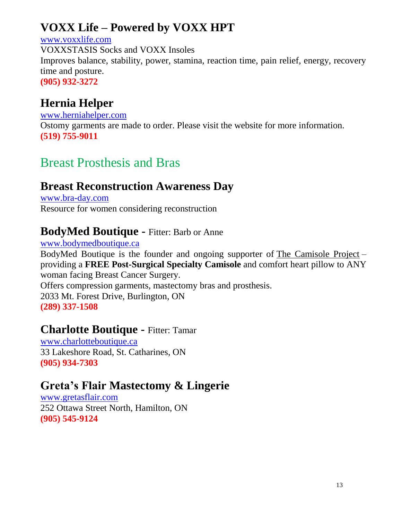## <span id="page-12-0"></span>**VOXX Life – Powered by VOXX HPT**

#### [www.voxxlife.com](http://www.voxxlife.com/) VOXXSTASIS Socks and VOXX Insoles Improves balance, stability, power, stamina, reaction time, pain relief, energy, recovery time and posture. **(905) 932-3272**

## **Hernia Helper**

[www.herniahelper.com](http://www.herniahelper.com/) Ostomy garments are made to order. Please visit the website for more information. **(519) 755-9011**

## Breast Prosthesis and Bras

### **Breast Reconstruction Awareness Day**

[www.bra-day.com](http://www.bra-day.com/) Resource for women considering reconstruction

### **BodyMed Boutique -** Fitter: Barb or Anne

[www.bodymedboutique.ca](http://www.bodymedboutique.ca/)

BodyMed Boutique is the founder and ongoing supporter of [The Camisole Project](http://www.bodymedboutique.ca/body-med-donates/) – providing a **FREE Post-Surgical Specialty Camisole** and comfort heart pillow to ANY woman facing Breast Cancer Surgery. Offers compression garments, mastectomy bras and prosthesis. 2033 Mt. Forest Drive, Burlington, ON **(289) 337-1508**

#### **Charlotte Boutique -** Fitter: Tamar

[www.charlotteboutique.ca](http://www.charlotteboutique.ca/) 33 Lakeshore Road, St. Catharines, ON **(905) 934-7303**

### **Greta's Flair Mastectomy & Lingerie**

[www.gretasflair.com](http://www.gretasflair.com/) 252 Ottawa Street North, Hamilton, ON **(905) 545-9124**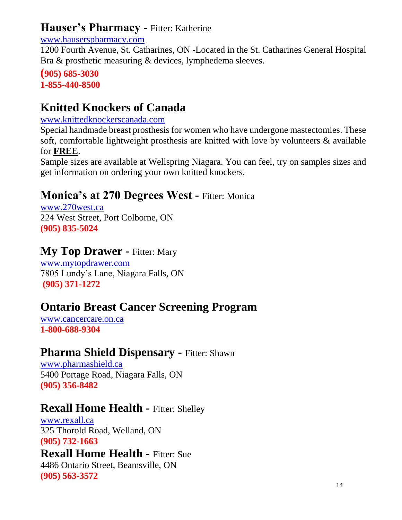### **Hauser's Pharmacy -** Fitter: Katherine

#### [www.hauserspharmacy.com](http://www.hauserspharmacy.com/)

1200 Fourth Avenue, St. Catharines, ON -Located in the St. Catharines General Hospital Bra & prosthetic measuring & devices, lymphedema sleeves.

#### **(905) 685-3030 1-855-440-8500**

## **Knitted Knockers of Canada**

#### [www.knittedknockerscanada.com](http://www.knittedknockerscanada.com/)

Special handmade breast prosthesis for women who have undergone mastectomies. These soft, comfortable lightweight prosthesis are knitted with love by volunteers & available for **FREE**.

Sample sizes are available at Wellspring Niagara. You can feel, try on samples sizes and get information on ordering your own knitted knockers.

### **Monica's at 270 Degrees West - Fitter: Monica**

[www.270west.ca](http://www.270west.ca/) 224 West Street, Port Colborne, ON **(905) 835-5024**

### **My Top Drawer -** Fitter: Mary

[www.mytopdrawer.com](http://www.mytopdrawer.com/) 7805 Lundy's Lane, Niagara Falls, ON **(905) 371-1272**

## **Ontario Breast Cancer Screening Program**

[www.cancercare.on.ca](http://www.cancercare.on.ca/) **1-800-688-9304**

### **Pharma Shield Dispensary -** Fitter: Shawn

[www.pharmashield.ca](http://www.pharmashield.ca/) 5400 Portage Road, Niagara Falls, ON **(905) 356-8482**

### **Rexall Home Health - Fitter: Shelley**

[www.rexall.ca](http://www.rexall.ca/) 325 Thorold Road, Welland, ON **(905) 732-1663**

#### **Rexall Home Health - Fitter: Sue**

4486 Ontario Street, Beamsville, ON **(905) 563-3572**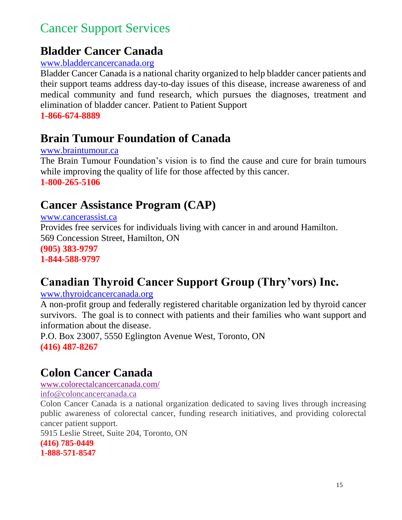## <span id="page-14-0"></span>Cancer Support Services

## **Bladder Cancer Canada**

#### [www.bladdercancercanada.org](http://www.bladdercancercanada.org/)

Bladder Cancer Canada is a national charity organized to help bladder cancer patients and their support teams address day-to-day issues of this disease, increase awareness of and medical community and fund research, which pursues the diagnoses, treatment and elimination of bladder cancer. Patient to Patient Support

**1-866-674-8889**

## **Brain Tumour Foundation of Canada**

#### [www.braintumour.ca](http://www.braintumour.ca/)

The Brain Tumour Foundation's vision is to find the cause and cure for brain tumours while improving the quality of life for those affected by this cancer. **1-800-265-5106**

### **Cancer Assistance Program (CAP)**

[www.cancerassist.ca](http://www.cancerassist.ca/) Provides free services for individuals living with cancer in and around Hamilton. 569 Concession Street, Hamilton, ON **(905) 383-9797 1-844-588-9797**

## **Canadian Thyroid Cancer Support Group (Thry'vors) Inc.**

#### [www.thyroidcancercanada.org](http://www.thyroidcancercanada.org/)

A non-profit group and federally registered charitable organization led by thyroid cancer survivors. The goal is to connect with patients and their families who want support and information about the disease.

P.O. Box 23007, 5550 Eglington Avenue West, Toronto, ON **(416) 487-8267**

## **Colon Cancer Canada**

[www.colorectalcancercanada.com/](http://www.coloncancercanada.ca/)

[info@coloncancercanada.ca](mailto:info@coloncancercanada.ca)

Colon Cancer Canada is a national organization dedicated to saving lives through increasing public awareness of colorectal cancer, funding research initiatives, and providing colorectal cancer patient support.

5915 Leslie Street, Suite 204, Toronto, ON

```
(416) 785-0449
```
**1-888-571-8547**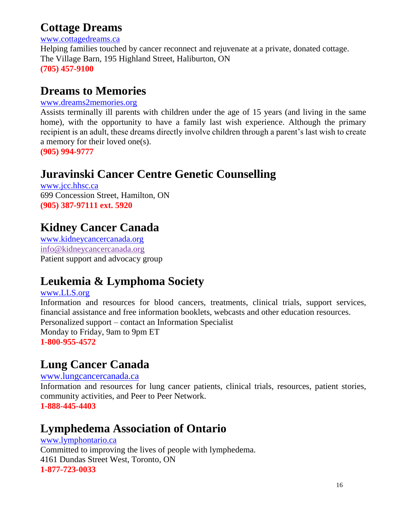### **Cottage Dreams**

[www.cottagedreams.ca](http://www.cottagedreams.ca/)

Helping families touched by cancer reconnect and rejuvenate at a private, donated cottage. The Village Barn, 195 Highland Street, Haliburton, ON **(705) 457-9100**

## **Dreams to Memories**

#### www.dreams2memories.org

Assists terminally ill parents with children under the age of 15 years (and living in the same home), with the opportunity to have a family last wish experience. Although the primary recipient is an adult, these dreams directly involve children through a parent's last wish to create a memory for their loved one(s).

**(905) 994-9777**

## **Juravinski Cancer Centre Genetic Counselling**

[www.jcc.hhsc.ca](http://www.jcc.hhsc.ca/) 699 Concession Street, Hamilton, ON **(905) 387-97111 ext. 5920**

## **Kidney Cancer Canada**

[www.kidneycancercanada.org](http://www.kidneycancercanada.org/) info@kidneycancercanada.org Patient support and advocacy group

## **Leukemia & Lymphoma Society**

[www.LLS.org](http://www.lls.org/)

Information and resources for blood cancers, treatments, clinical trials, support services, financial assistance and free information booklets, webcasts and other education resources. Personalized support – contact an Information Specialist Monday to Friday, 9am to 9pm ET **1-800-955-4572**

## **Lung Cancer Canada**

[www.lungcancercanada.ca](http://www.lungcancercanada.ca/)

Information and resources for lung cancer patients, clinical trials, resources, patient stories, community activities, and Peer to Peer Network.

**1-888-445-4403**

## **Lymphedema Association of Ontario**

#### [www.lymphontario.ca](http://www.lymphontario.ca/) Committed to improving the lives of people with lymphedema. 4161 Dundas Street West, Toronto, ON **1-877-723-0033**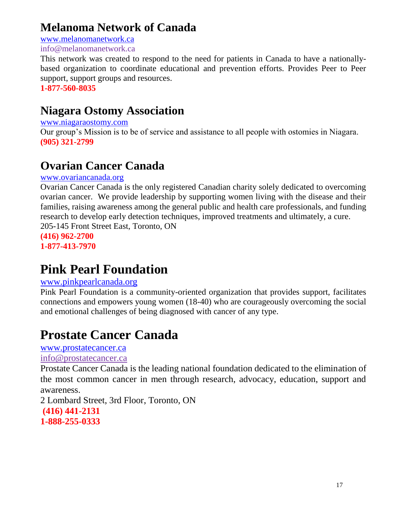## **Melanoma Network of Canada**

[www.melanomanetwork.ca](http://www.melanomanetwork.ca/)

info@melanomanetwork.ca

This network was created to respond to the need for patients in Canada to have a nationallybased organization to coordinate educational and prevention efforts. Provides Peer to Peer support, support groups and resources.

**1-877-560-8035**

## **Niagara Ostomy Association**

#### [www.niagaraostomy.com](http://www.niagaraostomy.com/)

Our group's Mission is to be of service and assistance to all people with ostomies in Niagara. **(905) 321-2799**

## **Ovarian Cancer Canada**

#### [www.ovariancanada.org](http://www.ovariancanada.org/)

Ovarian Cancer Canada is the only registered Canadian charity solely dedicated to overcoming ovarian cancer. We provide leadership by supporting women living with the disease and their families, raising awareness among the general public and health care professionals, and funding research to develop early detection techniques, improved treatments and ultimately, a cure. 205-145 Front Street East, Toronto, ON

**(416) 962-2700 1-877-413-7970**

# **Pink Pearl Foundation**

#### www.pinkpearlcanada.org

Pink Pearl Foundation is a community-oriented organization that provides support, facilitates connections and empowers young women (18-40) who are courageously overcoming the social and emotional challenges of being diagnosed with cancer of any type.

# **Prostate Cancer Canada**

[www.prostatecancer.ca](http://www.prostatecancer.ca/)

[info@prostatecancer.ca](mailto:info@prostatecancer.ca)

Prostate Cancer Canada is the leading national foundation dedicated to the elimination of the most common cancer in men through research, advocacy, education, support and awareness.

2 Lombard Street, 3rd Floor, Toronto, ON **(416) 441-2131 1-888-255-0333**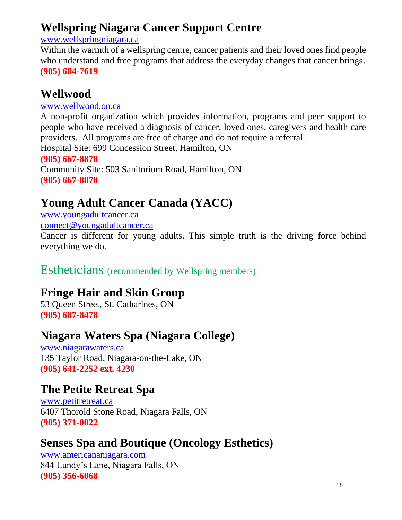## <span id="page-17-0"></span>**Wellspring Niagara Cancer Support Centre**

#### [www.wellspringniagara.ca](http://www.wellspringniagara.ca/)

Within the warmth of a wellspring centre, cancer patients and their loved ones find people who understand and free programs that address the everyday changes that cancer brings. **(905) 684-7619**

## **Wellwood**

#### [www.wellwood.on.ca](http://www.wellwood.on.ca/)

A non-profit organization which provides information, programs and peer support to people who have received a diagnosis of cancer, loved ones, caregivers and health care providers. All programs are free of charge and do not require a referral.

Hospital Site: 699 Concession Street, Hamilton, ON **(905) 667-8870** Community Site: 503 Sanitorium Road, Hamilton, ON **(905) 667-8870**

## **Young Adult Cancer Canada (YACC)**

[www.youngadultcancer.ca](http://www.youngadultcancer.ca/) [connect@youngadultcancer.ca](mailto:connect@youngadultcancer.ca)

Cancer is different for young adults. This simple truth is the driving force behind everything we do.

### Estheticians (recommended by Wellspring members)

## **Fringe Hair and Skin Group**

53 Queen Street, St. Catharines, ON **(905) 687-8478**

### **Niagara Waters Spa (Niagara College)**

[www.niagarawaters.ca](http://www.niagarawaters.ca/) 135 Taylor Road, Niagara-on-the-Lake, ON **(905) 641-2252 ext. 4230**

### **The Petite Retreat Spa**

[www.petitretreat.ca](http://www.petitretreat.ca/) 6407 Thorold Stone Road, Niagara Falls, ON **(905) 371-0022**

## **Senses Spa and Boutique (Oncology Esthetics)**

[www.americananiagara.com](http://www.americananiagara.com/) 844 Lundy's Lane, Niagara Falls, ON **(905) 356-6068**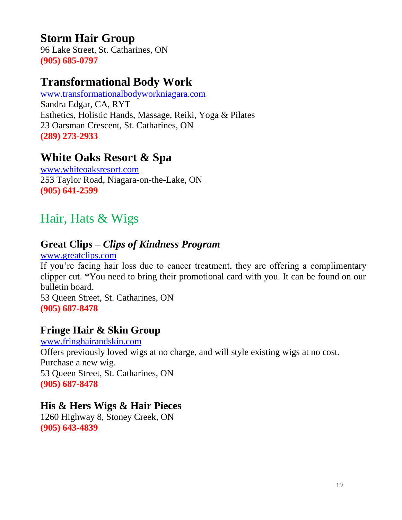## <span id="page-18-0"></span>**Storm Hair Group**

96 Lake Street, St. Catharines, ON **(905) 685-0797**

## **Transformational Body Work**

[www.transformationalbodyworkniagara.com](http://www.transformationalbodyworkniagara.com/) Sandra Edgar, CA, RYT Esthetics, Holistic Hands, Massage, Reiki, Yoga & Pilates 23 Oarsman Crescent, St. Catharines, ON **(289) 273-2933**

## **White Oaks Resort & Spa**

[www.whiteoaksresort.com](http://www.whiteoaksresort.com/) 253 Taylor Road, Niagara-on-the-Lake, ON **(905) 641-2599**

## Hair, Hats & Wigs

### **Great Clips –** *Clips of Kindness Program*

[www.greatclips.com](http://www.greatclips.com/)

If you're facing hair loss due to cancer treatment, they are offering a complimentary clipper cut. \*You need to bring their promotional card with you. It can be found on our bulletin board.

53 Queen Street, St. Catharines, ON **(905) 687-8478**

### **Fringe Hair & Skin Group**

[www.fringhairandskin.com](http://www.fringhairandskin.com/) Offers previously loved wigs at no charge, and will style existing wigs at no cost. Purchase a new wig. 53 Queen Street, St. Catharines, ON **(905) 687-8478**

#### **His & Hers Wigs & Hair Pieces**

1260 Highway 8, Stoney Creek, ON **(905) 643-4839**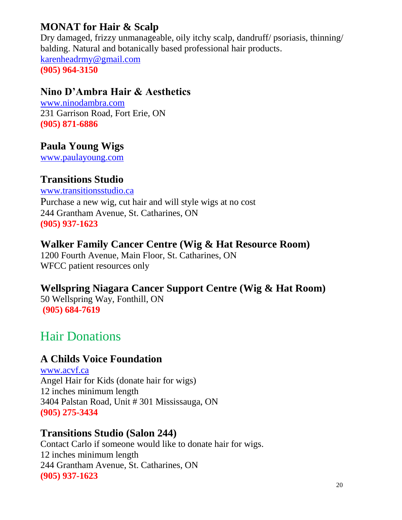### <span id="page-19-0"></span>**MONAT for Hair & Scalp**

Dry damaged, frizzy unmanageable, oily itchy scalp, dandruff/ psoriasis, thinning/ balding. Natural and botanically based professional hair products. [karenheadrmy@gmail.com](mailto:karenheadrmy@gmail.com)

**(905) 964-3150**

#### **Nino D'Ambra Hair & Aesthetics**

[www.ninodambra.com](http://www.ninodambra.com/) 231 Garrison Road, Fort Erie, ON **(905) 871-6886**

#### **Paula Young Wigs**

[www.paulayoung.com](http://www.paulayoung.com/)

#### **Transitions Studio**

[www.transitionsstudio.ca](http://www.transitionsstudio.ca/) Purchase a new wig, cut hair and will style wigs at no cost 244 Grantham Avenue, St. Catharines, ON **(905) 937-1623**

#### **Walker Family Cancer Centre (Wig & Hat Resource Room)**

1200 Fourth Avenue, Main Floor, St. Catharines, ON WFCC patient resources only

**Wellspring Niagara Cancer Support Centre (Wig & Hat Room)**  50 Wellspring Way, Fonthill, ON **(905) 684-7619**

## Hair Donations

#### **A Childs Voice Foundation**

www.acvf.ca Angel Hair for Kids (donate hair for wigs) 12 inches minimum length 3404 Palstan Road, Unit # 301 Mississauga, ON **(905) 275-3434**

#### **Transitions Studio (Salon 244)**

Contact Carlo if someone would like to donate hair for wigs. 12 inches minimum length 244 Grantham Avenue, St. Catharines, ON **(905) 937-1623**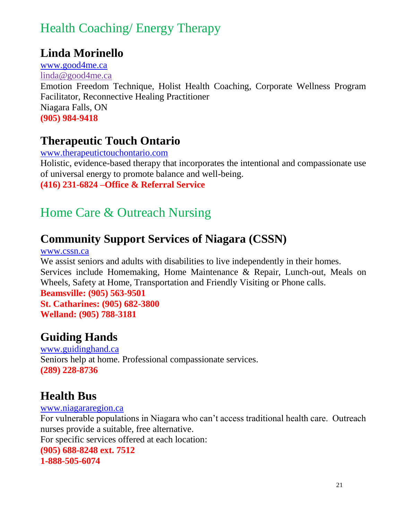## <span id="page-20-0"></span>Health Coaching/ Energy Therapy

### **Linda Morinello**

[www.good4me.ca](http://www.good4me.ca/) [linda@good4me.ca](mailto:linda@good4me.ca) Emotion Freedom Technique, Holist Health Coaching, Corporate Wellness Program Facilitator, Reconnective Healing Practitioner Niagara Falls, ON **(905) 984-9418**

## **Therapeutic Touch Ontario**

[www.therapeutictouchontario.com](http://www.visitingangels.ca/) Holistic, evidence-based therapy that incorporates the intentional and compassionate use of universal energy to promote balance and well-being. **(416) 231-6824 –Office & Referral Service**

## Home Care & Outreach Nursing

## **Community Support Services of Niagara (CSSN)**

www.cssn.ca

We assist seniors and adults with disabilities to live independently in their homes. Services include Homemaking, Home Maintenance & Repair, Lunch-out, Meals on Wheels, Safety at Home, Transportation and Friendly Visiting or Phone calls.

**Beamsville: (905) 563-9501 St. Catharines: (905) 682-3800 Welland: (905) 788-3181**

## **Guiding Hands**

www.guidinghand.ca Seniors help at home. Professional compassionate services.

**(289) 228-8736**

## **Health Bus**

[www.niagararegion.ca](http://www.niagararegion.ca/) For vulnerable populations in Niagara who can't access traditional health care. Outreach nurses provide a suitable, free alternative. For specific services offered at each location: **(905) 688-8248 ext. 7512 1-888-505-6074**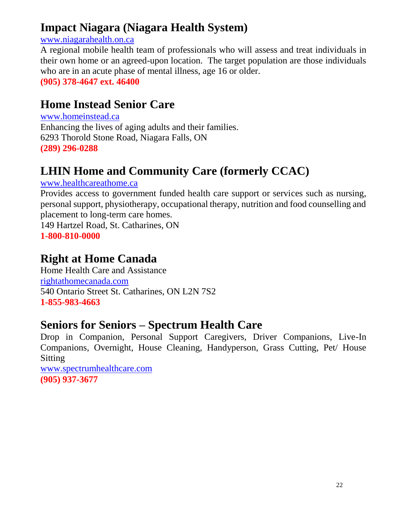## **Impact Niagara (Niagara Health System)**

#### [www.niagarahealth.on.ca](http://www.niagarahealth.on.ca/)

A regional mobile health team of professionals who will assess and treat individuals in their own home or an agreed-upon location. The target population are those individuals who are in an acute phase of mental illness, age 16 or older.

**(905) 378-4647 ext. 46400**

## **Home Instead Senior Care**

[www.homeinstead.ca](http://www.homeinstead.ca/) Enhancing the lives of aging adults and their families. 6293 Thorold Stone Road, Niagara Falls, ON **(289) 296-0288**

## **LHIN Home and Community Care (formerly CCAC)**

#### www.healthcareathome.ca

Provides access to government funded health care support or services such as nursing, personal support, physiotherapy, occupational therapy, nutrition and food counselling and placement to long-term care homes. 149 Hartzel Road, St. Catharines, ON **1-800-810-0000**

### **Right at Home Canada**

Home Health Care and Assistance [rightathomecanada.com](mailto:careniagara@rightathomecanada.com) 540 Ontario Street St. Catharines, ON L2N 7S2 **1-855-983-4663**

### **Seniors for Seniors – Spectrum Health Care**

Drop in Companion, Personal Support Caregivers, Driver Companions, Live-In Companions, Overnight, House Cleaning, Handyperson, Grass Cutting, Pet/ House Sitting

www.spectrumhealthcare.com **(905) 937-3677**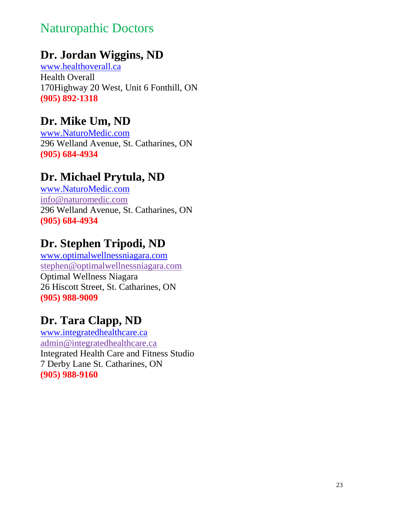## <span id="page-22-0"></span>Naturopathic Doctors

## **Dr. Jordan Wiggins, ND**

[www.healthoverall.ca](http://www.healthoverall.ca/) Health Overall 170Highway 20 West, Unit 6 Fonthill, ON **(905) 892-1318**

## **Dr. Mike Um, ND**

[www.NaturoMedic.com](http://www.naturomedic.com/) 296 Welland Avenue, St. Catharines, ON **(905) 684-4934**

## **Dr. Michael Prytula, ND**

[www.NaturoMedic.com](http://www.naturomedic.com/) [info@naturomedic.com](mailto:info@naturomedic.com) 296 Welland Avenue, St. Catharines, ON **(905) 684-4934**

## **Dr. Stephen Tripodi, ND**

[www.optimalwellnessniagara.com](http://www.optimalwellnessniagara.com/) [stephen@optimalwellnessniagara.com](mailto:stephen@optimalwellnessniagara.com) Optimal Wellness Niagara 26 Hiscott Street, St. Catharines, ON **(905) 988-9009**

## **Dr. Tara Clapp, ND**

[www.integratedhealthcare.ca](http://www.integratedhealthcare.ca/) admin@integratedhealthcare.ca Integrated Health Care and Fitness Studio 7 Derby Lane St. Catharines, ON **(905) 988-9160**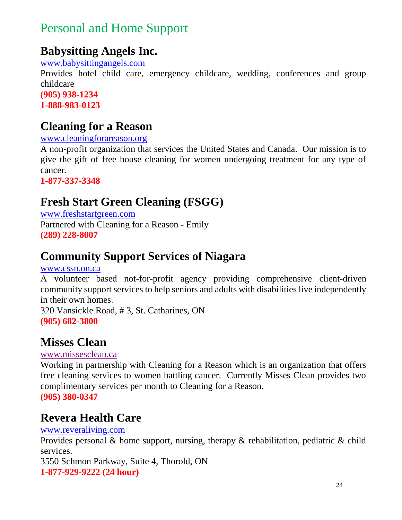## <span id="page-23-0"></span>Personal and Home Support

## **Babysitting Angels Inc.**

[www.babysittingangels.com](http://www.babysittingangels.com/)

Provides hotel child care, emergency childcare, wedding, conferences and group childcare **(905) 938-1234 1-888-983-0123**

## **Cleaning for a Reason**

[www.cleaningforareason.org](http://www.cleaningforareason.org/)

A non-profit organization that services the United States and Canada. Our mission is to give the gift of free house cleaning for women undergoing treatment for any type of cancer.

**1-877-337-3348**

## **Fresh Start Green Cleaning (FSGG)**

[www.freshstartgreen.com](http://www.freshstartgreen.com/) Partnered with Cleaning for a Reason - Emily **(289) 228-8007**

## **Community Support Services of Niagara**

[www.cssn.on.ca](http://www.cssn.on.ca/)

A volunteer based not-for-profit agency providing comprehensive client-driven community support services to help seniors and adults with disabilities live independently in their own homes.

320 Vansickle Road, # 3, St. Catharines, ON **(905) 682-3800**

## **Misses Clean**

[www.missesclean.ca](http://www.missesclean.ca/)

Working in partnership with Cleaning for a Reason which is an organization that offers free cleaning services to women battling cancer. Currently Misses Clean provides two complimentary services per month to Cleaning for a Reason. **(905) 380-0347**

### **Revera Health Care**

#### [www.reveraliving.com](http://www.reveraliving.com/)

Provides personal & home support, nursing, therapy & rehabilitation, pediatric & child services.

3550 Schmon Parkway, Suite 4, Thorold, ON **1-877-929-9222 (24 hour)**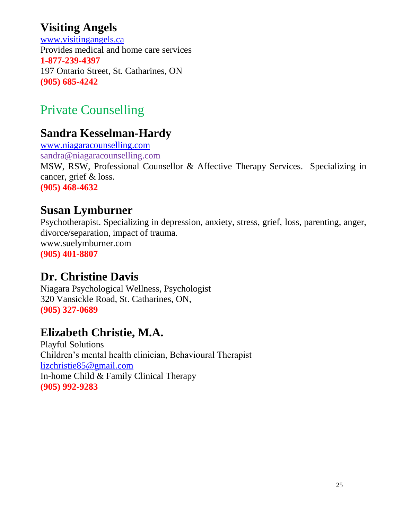## <span id="page-24-0"></span>**Visiting Angels**

[www.visitingangels.ca](http://www.visitingangels.ca/) Provides medical and home care services **1-877-239-4397** 197 Ontario Street, St. Catharines, ON **(905) 685-4242**

# Private Counselling

## **Sandra Kesselman-Hardy**

www.niagaracounselling.com [sandra@niagaracounselling.com](mailto:sandra@niagaracounselling.com) MSW, RSW, Professional Counsellor & Affective Therapy Services. Specializing in cancer, grief & loss. **(905) 468-4632**

### **Susan Lymburner**

Psychotherapist. Specializing in depression, anxiety, stress, grief, loss, parenting, anger, divorce/separation, impact of trauma. www.suelymburner.com **(905) 401-8807**

### **Dr. Christine Davis**

Niagara Psychological Wellness, Psychologist 320 Vansickle Road, St. Catharines, ON, **(905) 327-0689**

## **Elizabeth Christie, M.A.**

Playful Solutions Children's mental health clinician, Behavioural Therapist [lizchristie85@gmail.com](mailto:lizchristie85@gmail.com) In-home Child & Family Clinical Therapy **(905) 992-9283**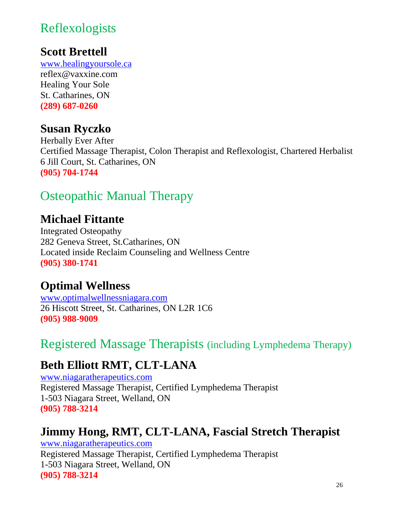## <span id="page-25-0"></span>[Reflexologists](#page-24-0)

## **Scott Brettell**

[www.healingyoursole.ca](http://www.healingyoursole.ca/) reflex@vaxxine.com Healing Your Sole St. Catharines, ON **(289) 687-0260**

### **Susan Ryczko**

Herbally Ever After Certified Massage Therapist, Colon Therapist and Reflexologist, Chartered Herbalist 6 Jill Court, St. Catharines, ON **(905) 704-1744**

## Osteopathic Manual Therapy

## **Michael Fittante**

Integrated Osteopathy 282 Geneva Street, St.Catharines, ON Located inside Reclaim Counseling and Wellness Centre **(905) 380-1741**

## **Optimal Wellness**

[www.optimalwellnessniagara.com](http://www.optimalwellnessniagara.com/) 26 Hiscott Street, St. Catharines, ON L2R 1C6 **(905) 988-9009**

## Registered Massage Therapists (including Lymphedema Therapy)

## **Beth Elliott RMT, CLT-LANA**

[www.niagaratherapeutics.com](file:///C:/Users/szigattik/Documents/RESOURCES/Wellspring%20Niagara%20Resource%20Guide/www.niagaratherapeutics.com) Registered Massage Therapist, Certified Lymphedema Therapist 1-503 Niagara Street, Welland, ON **(905) 788-3214**

## **Jimmy Hong, RMT, CLT-LANA, Fascial Stretch Therapist**

www.niagaratherapeutics.com Registered Massage Therapist, Certified Lymphedema Therapist 1-503 Niagara Street, Welland, ON **(905) 788-3214**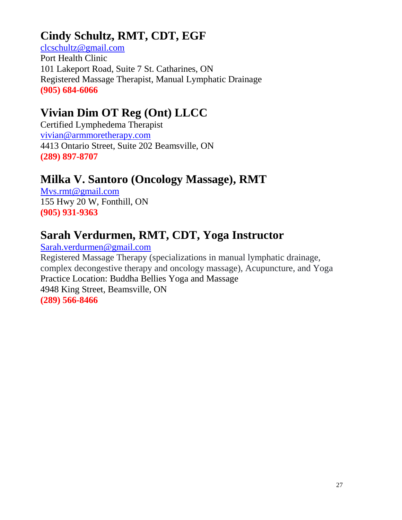## **Cindy Schultz, RMT, CDT, EGF**

[clcschultz@gmail.com](mailto:clcschultz@gmail.com) Port Health Clinic 101 Lakeport Road, Suite 7 St. Catharines, ON Registered Massage Therapist, Manual Lymphatic Drainage **(905) 684-6066**

## **Vivian Dim OT Reg (Ont) LLCC**

Certified Lymphedema Therapist [vivian@armmoretherapy.com](mailto:vivian@armmoretherapy.com) 4413 Ontario Street, Suite 202 Beamsville, ON **(289) 897-8707**

## **Milka V. Santoro (Oncology Massage), RMT**

[Mvs.rmt@gmail.com](mailto:Mvs.rmt@gmail.com) 155 Hwy 20 W, Fonthill, ON **(905) 931-9363**

## **Sarah Verdurmen, RMT, CDT, Yoga Instructor**

[Sarah.verdurmen@gmail.com](mailto:Sarah.verdurmen@gmail.com) Registered Massage Therapy (specializations in manual lymphatic drainage, complex decongestive therapy and oncology massage), Acupuncture, and Yoga Practice Location: Buddha Bellies Yoga and Massage 4948 King Street, Beamsville, ON **(289) 566-8466**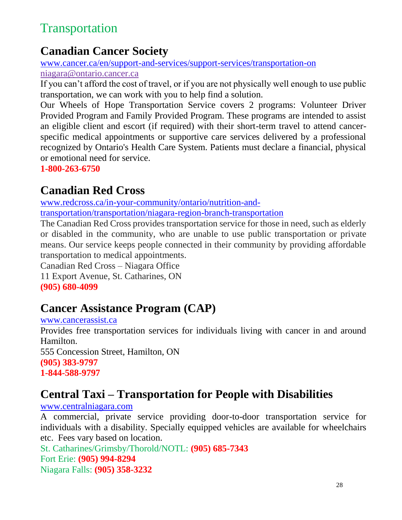## <span id="page-27-0"></span>Transportation

## **Canadian Cancer Society**

[www.cancer.ca/en/support-and-services/support-services/transportation-on](http://www.cancer.ca/en/support-and-services/support-services/transportation-on)

[niagara@ontario.cancer.ca](mailto:niagara@ontario.cancer.ca)

If you can't afford the cost of travel, or if you are not physically well enough to use public transportation, we can work with you to help find a solution.

Our Wheels of Hope Transportation Service covers 2 programs: Volunteer Driver Provided Program and Family Provided Program. These programs are intended to assist an eligible client and escort (if required) with their short-term travel to attend cancerspecific medical appointments or supportive care services delivered by a professional recognized by Ontario's Health Care System. Patients must declare a financial, physical or emotional need for service.

**1-800-263-6750**

## **Canadian Red Cross**

[www.redcross.ca/in-your-community/ontario/nutrition-and](https://www.redcross.ca/in-your-community/ontario/nutrition-and-transportation/transportation/niagara-region-branch-transportation)[transportation/transportation/niagara-region-branch-transportation](https://www.redcross.ca/in-your-community/ontario/nutrition-and-transportation/transportation/niagara-region-branch-transportation)

The Canadian Red Cross provides transportation service for those in need, such as elderly or disabled in the community, who are unable to use public transportation or private means. Our service keeps people connected in their community by providing affordable transportation to medical appointments.

Canadian Red Cross – Niagara Office 11 Export Avenue, St. Catharines, ON

**(905) 680-4099**

## **Cancer Assistance Program (CAP)**

[www.cancerassist.ca](http://www.cancerassist.ca/) Provides free transportation services for individuals living with cancer in and around Hamilton. 555 Concession Street, Hamilton, ON **(905) 383-9797 1-844-588-9797**

## **Central Taxi – Transportation for People with Disabilities**

[www.centralniagara.com](http://www.centralniagara.com/)

A commercial, private service providing door-to-door transportation service for individuals with a disability. Specially equipped vehicles are available for wheelchairs etc. Fees vary based on location.

St. Catharines/Grimsby/Thorold/NOTL: **(905) 685-7343** Fort Erie: **(905) 994-8294** Niagara Falls: **(905) 358-3232**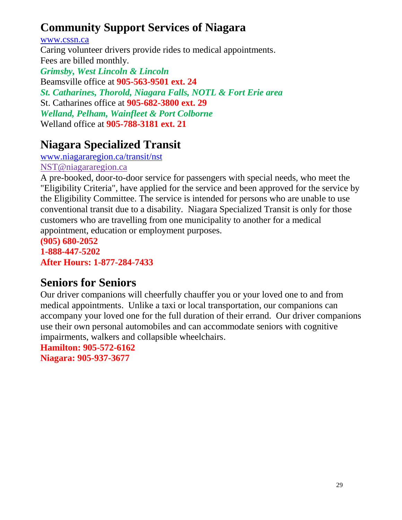## **Community Support Services of Niagara**

[www.cssn.ca](http://www.cssn.ca/)

Caring volunteer drivers provide rides to medical appointments. Fees are billed monthly. *Grimsby, West Lincoln & Lincoln* Beamsville office at **905-563-9501 ext. 24** *St. Catharines, Thorold, Niagara Falls, NOTL & Fort Erie area* St. Catharines office at **905-682-3800 ext. 29** *Welland, Pelham, Wainfleet & Port Colborne* Welland office at **905-788-3181 ext. 21**

## **Niagara Specialized Transit**

[www.niagararegion.ca/transit/nst](http://www.niagararegion.ca/transit/nst) [NST@niagararegion.ca](mailto:NST@niagararegion.ca)

A pre-booked, door-to-door service for passengers with special needs, who meet the "Eligibility Criteria", have applied for the service and been approved for the service by the Eligibility Committee. The service is intended for persons who are unable to use conventional transit due to a disability. Niagara Specialized Transit is only for those customers who are travelling from one municipality to another for a medical appointment, education or employment purposes.

**(905) 680-2052 1-888-447-5202 After Hours: 1-877-284-7433**

## **Seniors for Seniors**

Our driver companions will cheerfully chauffer you or your loved one to and from medical appointments. Unlike a taxi or local transportation, our companions can accompany your loved one for the full duration of their errand. Our driver companions use their own personal automobiles and can accommodate seniors with cognitive impairments, walkers and collapsible wheelchairs.

**Hamilton: [905-572-6162](tel:905-572-6162) Niagara: [905-937-3677](tel:905-937-3677)**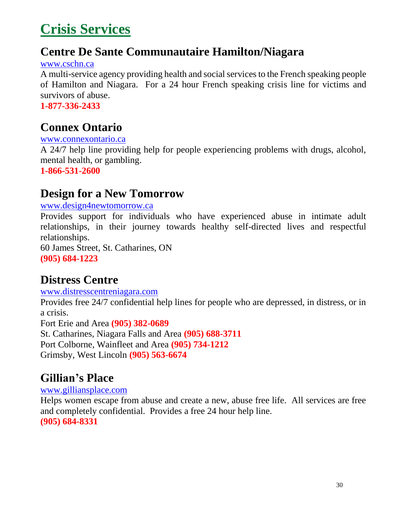# <span id="page-29-0"></span>**Crisis Services**

### **Centre De Sante Communautaire Hamilton/Niagara**

[www.cschn.ca](http://www.cschn.ca/)

A multi-service agency providing health and social services to the French speaking people of Hamilton and Niagara. For a 24 hour French speaking crisis line for victims and survivors of abuse.

**1-877-336-2433**

## **Connex Ontario**

[www.connexontario.ca](http://www.connexontario.ca/)

A 24/7 help line providing help for people experiencing problems with drugs, alcohol, mental health, or gambling.

**1-866-531-2600**

### **Design for a New Tomorrow**

[www.design4newtomorrow.ca](http://www.design4newtomorrow.ca/)

Provides support for individuals who have experienced abuse in intimate adult relationships, in their journey towards healthy self-directed lives and respectful relationships.

60 James Street, St. Catharines, ON **(905) 684-1223**

## **Distress Centre**

[www.distresscentreniagara.com](http://www.distresscentreniagara.com/)

Provides free 24/7 confidential help lines for people who are depressed, in distress, or in a crisis.

Fort Erie and Area **(905) 382-0689**

St. Catharines, Niagara Falls and Area **(905) 688-3711** Port Colborne, Wainfleet and Area **(905) 734-1212** Grimsby, West Lincoln **(905) 563-6674**

## **Gillian's Place**

[www.gilliansplace.com](http://www.gilliansplace.com/)

Helps women escape from abuse and create a new, abuse free life. All services are free and completely confidential. Provides a free 24 hour help line. **(905) 684-8331**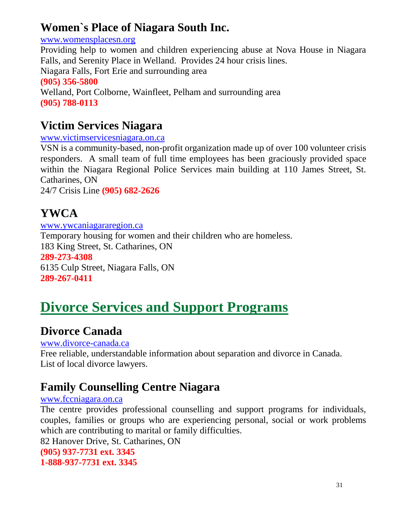## <span id="page-30-0"></span>**Women`s Place of Niagara South Inc.**

[www.womensplacesn.org](http://www.womensplacesn.org/)

Providing help to women and children experiencing abuse at Nova House in Niagara Falls, and Serenity Place in Welland. Provides 24 hour crisis lines. Niagara Falls, Fort Erie and surrounding area **(905) 356-5800** Welland, Port Colborne, Wainfleet, Pelham and surrounding area **(905) 788-0113**

## **Victim Services Niagara**

[www.victimservicesniagara.on.ca](http://www.victimservicesniagara.on.ca/)

VSN is a community-based, non-profit organization made up of over 100 volunteer crisis responders. A small team of full time employees has been graciously provided space within the Niagara Regional Police Services main building at 110 James Street, St. Catharines, ON

24/7 Crisis Line **(905) 682-2626**

# **YWCA**

[www.ywcaniagararegion.ca](http://www.ywcaniagararegion.ca/) Temporary housing for women and their children who are homeless. 183 King Street, St. Catharines, ON **289-273-4308** 6135 Culp Street, Niagara Falls, ON **289-267-0411**

# **Divorce Services and Support Programs**

## **Divorce Canada**

[www.divorce-canada.ca](http://www.divorce-canada.ca/) 

Free reliable, understandable information about separation and divorce in Canada. List of local divorce lawyers.

## **Family Counselling Centre Niagara**

#### [www.fccniagara.on.ca](http://www.fccniagara.on.ca/)

The centre provides professional counselling and support programs for individuals, couples, families or groups who are experiencing personal, social or work problems which are contributing to marital or family difficulties.

82 Hanover Drive, St. Catharines, ON **(905) 937-7731 ext. 3345 1-888-937-7731 ext. 3345**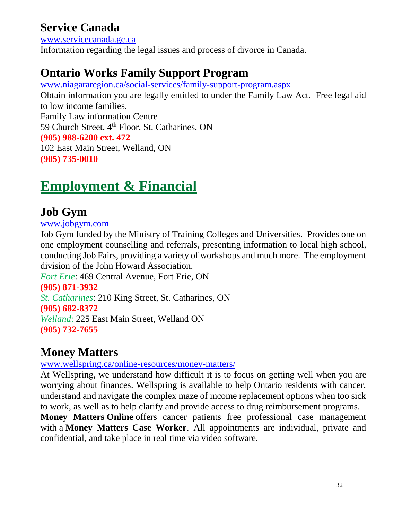## <span id="page-31-0"></span>**Service Canada**

[www.servicecanada.gc.ca](http://www.servicecanada.gc.ca/) Information regarding the legal issues and process of divorce in Canada.

## **Ontario Works Family Support Program**

[www.niagararegion.ca/social-services/family-support-program.aspx](http://www.niagararegion.ca/social-services/family-support-program.aspx)

Obtain information you are legally entitled to under the Family Law Act. Free legal aid to low income families. Family Law information Centre 59 Church Street, 4<sup>th</sup> Floor, St. Catharines, ON **(905) 988-6200 ext. 472** 102 East Main Street, Welland, ON **(905) 735-0010**

# **Employment & Financial**

## **Job Gym**

[www.jobgym.com](http://www.jobgym.com/)

Job Gym funded by the Ministry of Training Colleges and Universities. Provides one on one employment counselling and referrals, presenting information to local high school, conducting Job Fairs, providing a variety of workshops and much more. The employment division of the John Howard Association.

*Fort Erie*: 469 Central Avenue, Fort Erie, ON **(905) 871-3932** *St. Catharines*: 210 King Street, St. Catharines, ON **(905) 682-8372** *Welland*: 225 East Main Street, Welland ON **(905) 732-7655**

## **Money Matters**

[www.wellspring.ca/online-resources/money-matters/](http://www.wellspring.ca/online-resources/money-matters/)

At Wellspring, we understand how difficult it is to focus on getting well when you are worrying about finances. Wellspring is available to help Ontario residents with cancer, understand and navigate the complex maze of income replacement options when too sick to work, as well as to help clarify and provide access to drug reimbursement programs.

**Money Matters Online** offers cancer patients free professional case management with a **Money Matters Case Worker**. All appointments are individual, private and confidential, and take place in real time via video software.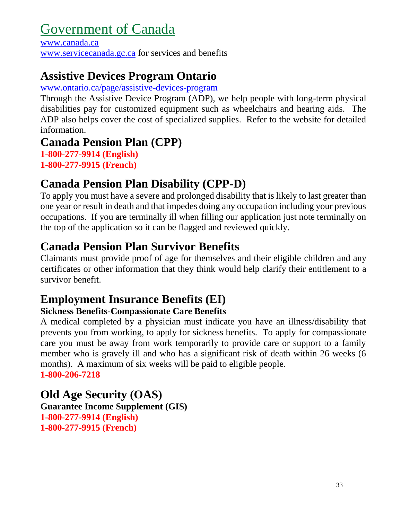# <span id="page-32-0"></span>Government of Canada

[www.canada.ca](http://www.canada.ca/) [www.servicecanada.gc.ca](http://www.servicecanada.gc.ca/) for services and benefits

## **Assistive Devices Program Ontario**

#### [www.ontario.ca/page/assistive-devices-program](http://www.ontario.ca/page/assistive-devices-program)

Through the Assistive Device Program (ADP), we help people with long-term physical disabilities pay for customized equipment such as wheelchairs and hearing aids. The ADP also helps cover the cost of specialized supplies. Refer to the website for detailed information.

## **Canada Pension Plan (CPP)**

**1-800-277-9914 (English) 1-800-277-9915 (French)**

## **Canada Pension Plan Disability (CPP-D)**

To apply you must have a severe and prolonged disability that is likely to last greater than one year or result in death and that impedes doing any occupation including your previous occupations. If you are terminally ill when filling our application just note terminally on the top of the application so it can be flagged and reviewed quickly.

## **Canada Pension Plan Survivor Benefits**

Claimants must provide proof of age for themselves and their eligible children and any certificates or other information that they think would help clarify their entitlement to a survivor benefit.

## **Employment Insurance Benefits (EI)**

#### **Sickness Benefits-Compassionate Care Benefits**

A medical completed by a physician must indicate you have an illness/disability that prevents you from working, to apply for sickness benefits. To apply for compassionate care you must be away from work temporarily to provide care or support to a family member who is gravely ill and who has a significant risk of death within 26 weeks (6 months). A maximum of six weeks will be paid to eligible people. **1-800-206-7218**

## **Old Age Security (OAS)**

**Guarantee Income Supplement (GIS) 1-800-277-9914 (English) 1-800-277-9915 (French)**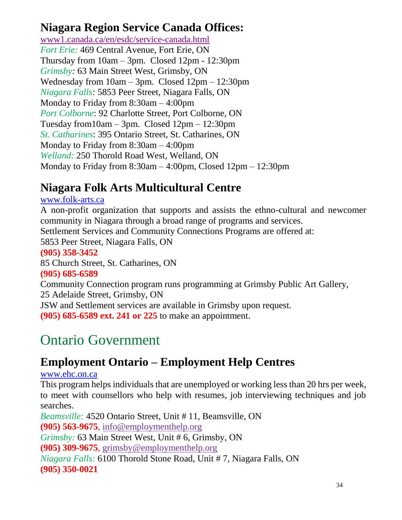### <span id="page-33-0"></span>**Niagara Region Service Canada Offices:**

[www1.canada.ca/en/esdc/service-canada.html](https://www1.canada.ca/en/esdc/service-canada.html) *Fort Erie:* 469 Central Avenue, Fort Erie, ON Thursday from 10am – 3pm. Closed 12pm - 12:30pm *Grimsby:* 63 Main Street West, Grimsby, ON Wednesday from 10am – 3pm. Closed 12pm – 12:30pm *Niagara Falls:* 5853 Peer Street, Niagara Falls, ON Monday to Friday from 8:30am – 4:00pm *Port Colborne*: 92 Charlotte Street, Port Colborne, ON Tuesday from  $10$ am – 3pm. Closed  $12$ pm –  $12:30$ pm *St. Catharines*: 395 Ontario Street, St. Catharines, ON Monday to Friday from 8:30am – 4:00pm *Welland:* 250 Thorold Road West, Welland, ON Monday to Friday from 8:30am – 4:00pm, Closed 12pm – 12:30pm

## **Niagara Folk Arts Multicultural Centre**

[www.folk-arts.ca](http://www.folk-arts.ca/)

A non-profit organization that supports and assists the ethno-cultural and newcomer community in Niagara through a broad range of programs and services. Settlement Services and Community Connections Programs are offered at: 5853 Peer Street, Niagara Falls, ON **(905) 358-3452** 85 Church Street, St. Catharines, ON **(905) 685-6589** Community Connection program runs programming at Grimsby Public Art Gallery, 25 Adelaide Street, Grimsby, ON JSW and Settlement services are available in Grimsby upon request. **(905) 685-6589 ext. 241 or 225** to make an appointment.

# Ontario Government

## **Employment Ontario – Employment Help Centres**

[www.ehc.on.ca](http://www.ehc.on.ca/)

This program helps individuals that are unemployed or working less than 20 hrs per week, to meet with counsellors who help with resumes, job interviewing techniques and job searches.

*Beamsville:* 4520 Ontario Street, Unit # 11, Beamsville, ON **(905) 563-9675**, [info@employmenthelp.org](mailto:info@employmenthelp.org) *Grimsby:* 63 Main Street West, Unit # 6, Grimsby, ON **(905) 309-9675**, [grimsby@employmenthelp.org](mailto:grimsby@employmenthelp.org) *Niagara Falls:* 6100 Thorold Stone Road, Unit # 7, Niagara Falls, ON **(905) 350-0021**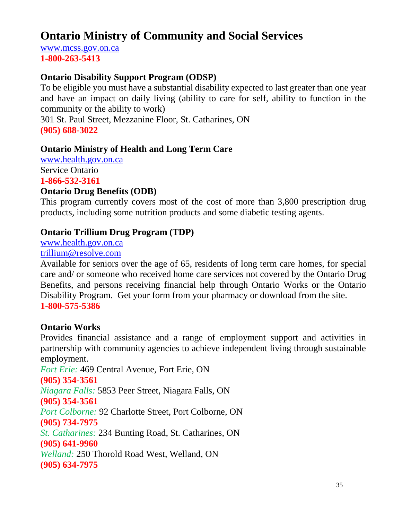## **Ontario Ministry of Community and Social Services**

[www.mcss.gov.on.ca](http://www.mcss.gov.on.ca/) **1-800-263-5413**

#### **Ontario Disability Support Program (ODSP)**

To be eligible you must have a substantial disability expected to last greater than one year and have an impact on daily living (ability to care for self, ability to function in the community or the ability to work)

301 St. Paul Street, Mezzanine Floor, St. Catharines, ON **(905) 688-3022**

#### **Ontario Ministry of Health and Long Term Care**

[www.health.gov.on.ca](http://www.health.gov.on.ca/) Service Ontario **1-866-532-3161**

#### **Ontario Drug Benefits (ODB)**

This program currently covers most of the cost of more than 3,800 prescription drug products, including some nutrition products and some diabetic testing agents.

#### **Ontario Trillium Drug Program (TDP)**

[www.health.gov.on.ca](http://www.health.gov.on.ca/) [trillium@resolve.com](mailto:trillium@resolve.com)

Available for seniors over the age of 65, residents of long term care homes, for special care and/ or someone who received home care services not covered by the Ontario Drug Benefits, and persons receiving financial help through Ontario Works or the Ontario Disability Program. Get your form from your pharmacy or download from the site. **1-800-575-5386**

#### **Ontario Works**

Provides financial assistance and a range of employment support and activities in partnership with community agencies to achieve independent living through sustainable employment.

*Fort Erie:* 469 Central Avenue, Fort Erie, ON **(905) 354-3561** *Niagara Falls:* 5853 Peer Street, Niagara Falls, ON **(905) 354-3561** *Port Colborne:* 92 Charlotte Street, Port Colborne, ON **(905) 734-7975** *St. Catharines:* 234 Bunting Road, St. Catharines, ON **(905) 641-9960** *Welland:* 250 Thorold Road West, Welland, ON **(905) 634-7975**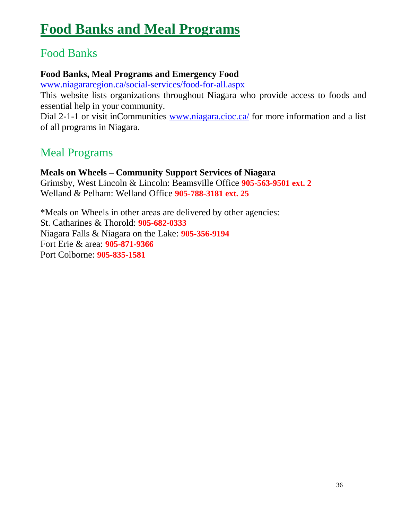# <span id="page-35-0"></span>**Food Banks and Meal Programs**

### Food Banks

#### **Food Banks, Meal Programs and Emergency Food**

[www.niagararegion.ca/social-services/food-for-all.aspx](http://www.niagararegion.ca/social-services/food-for-all.aspx)

This website lists organizations throughout Niagara who provide access to foods and essential help in your community.

Dial 2-1-1 or visit inCommunities [www.niagara.cioc.ca/](http://www.niagara.cioc.ca/) for more information and a list of all programs in Niagara.

## Meal Programs

**Meals on Wheels – Community Support Services of Niagara** Grimsby, West Lincoln & Lincoln: Beamsville Office **905-563-9501 ext. 2** Welland & Pelham: Welland Office **905-788-3181 ext. 25**

\*Meals on Wheels in other areas are delivered by other agencies: St. Catharines & Thorold: **905-682-0333** Niagara Falls & Niagara on the Lake: **905-356-9194** Fort Erie & area: **905-871-9366** Port Colborne: **905-835-1581**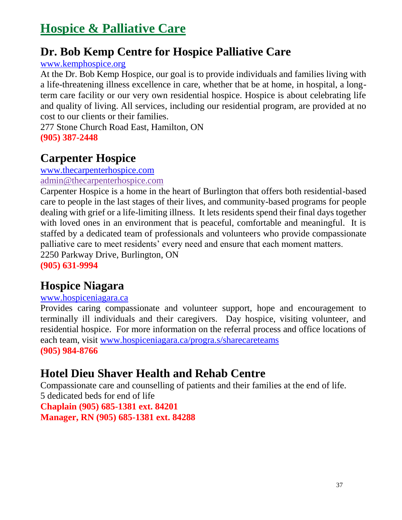## <span id="page-36-0"></span>**Hospice & Palliative Care**

### **Dr. Bob Kemp Centre for Hospice Palliative Care**

#### [www.kemphospice.org](http://www.kemphospice.org/)

At the Dr. Bob Kemp Hospice, our goal is to provide individuals and families living with a life-threatening illness excellence in care, whether that be at home, in hospital, a longterm care facility or our very own residential hospice. Hospice is about celebrating life and quality of living. All services, including our residential program, are provided at no cost to our clients or their families.

277 Stone Church Road East, Hamilton, ON **(905) 387-2448**

## **Carpenter Hospice**

#### [www.thecarpenterhospice.com](http://www.thecarpenterhospice.com/)

#### [admin@thecarpenterhospice.com](mailto:admin@thecarpenterhospice.com)

Carpenter Hospice is a home in the heart of Burlington that offers both residential-based care to people in the last stages of their lives, and community-based programs for people dealing with grief or a life-limiting illness. It lets residents spend their final days together with loved ones in an environment that is peaceful, comfortable and meaningful. It is staffed by a dedicated team of professionals and volunteers who provide compassionate palliative care to meet residents' every need and ensure that each moment matters. 2250 Parkway Drive, Burlington, ON

**(905) 631-9994**

### **Hospice Niagara**

#### [www.hospiceniagara.ca](http://www.hospiceniagara.ca/)

Provides caring compassionate and volunteer support, hope and encouragement to terminally ill individuals and their caregivers. Day hospice, visiting volunteer, and residential hospice. For more information on the referral process and office locations of each team, visit [www.hospiceniagara.ca/progra.s/sharecareteams](http://www.hospiceniagara.ca/progra.s/sharecareteams) **(905) 984-8766**

### **Hotel Dieu Shaver Health and Rehab Centre**

Compassionate care and counselling of patients and their families at the end of life. 5 dedicated beds for end of life **Chaplain (905) 685-1381 ext. 84201 Manager, RN (905) 685-1381 ext. 84288**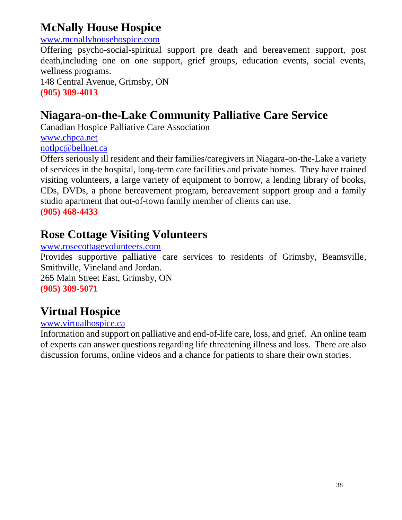## **McNally House Hospice**

#### [www.mcnallyhousehospice.com](http://www.mcnallyhousehospice.com/)

Offering psycho-social-spiritual support pre death and bereavement support, post death,including one on one support, grief groups, education events, social events, wellness programs.

148 Central Avenue, Grimsby, ON **(905) 309-4013**

## **Niagara-on-the-Lake Community Palliative Care Service**

Canadian Hospice Palliative Care Association [www.chpca.net](http://www.chpca.net/) [notlpc@bellnet.ca](mailto:notlpc@bellnet.ca)

Offers seriously ill resident and their families/caregivers in Niagara-on-the-Lake a variety of services in the hospital, long-term care facilities and private homes. They have trained visiting volunteers, a large variety of equipment to borrow, a lending library of books, CDs, DVDs, a phone bereavement program, bereavement support group and a family studio apartment that out-of-town family member of clients can use.

**(905) 468-4433**

## **Rose Cottage Visiting Volunteers**

#### [www.rosecottagevolunteers.com](http://www.rosecottagevolunteers.com/)

Provides supportive palliative care services to residents of Grimsby, Beamsville, Smithville, Vineland and Jordan.

265 Main Street East, Grimsby, ON **(905) 309-5071**

## **Virtual Hospice**

#### [www.virtualhospice.ca](http://www.virtualhospice.ca/)

Information and support on palliative and end-of-life care, loss, and grief. An online team of experts can answer questions regarding life threatening illness and loss. There are also discussion forums, online videos and a chance for patients to share their own stories.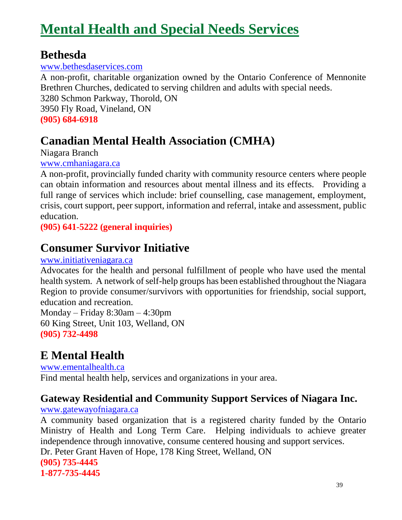# <span id="page-38-0"></span>**Mental Health and Special Needs Services**

### **Bethesda**

#### [www.bethesdaservices.com](http://www.bethesdaservices.com/)

A non-profit, charitable organization owned by the Ontario Conference of Mennonite Brethren Churches, dedicated to serving children and adults with special needs.

3280 Schmon Parkway, Thorold, ON 3950 Fly Road, Vineland, ON

**(905) 684-6918**

## **Canadian Mental Health Association (CMHA)**

Niagara Branch

#### [www.cmhaniagara.ca](http://www.cmhaniagara.ca/)

A non-profit, provincially funded charity with community resource centers where people can obtain information and resources about mental illness and its effects. Providing a full range of services which include: brief counselling, case management, employment, crisis, court support, peer support, information and referral, intake and assessment, public education.

**(905) 641-5222 (general inquiries)**

## **Consumer Survivor Initiative**

#### [www.initiativeniagara.ca](http://www.initiativeniagara.ca/)

Advocates for the health and personal fulfillment of people who have used the mental health system. A network of self-help groups has been established throughout the Niagara Region to provide consumer/survivors with opportunities for friendship, social support, education and recreation.

Monday – Friday 8:30am – 4:30pm 60 King Street, Unit 103, Welland, ON **(905) 732-4498**

## **E Mental Health**

[www.ementalhealth.ca](http://www.ementalhealth.ca/) Find mental health help, services and organizations in your area.

### **Gateway Residential and Community Support Services of Niagara Inc.**

#### [www.gatewayofniagara.ca](http://www.gatewayofniagara.ca/)

A community based organization that is a registered charity funded by the Ontario Ministry of Health and Long Term Care. Helping individuals to achieve greater independence through innovative, consume centered housing and support services. Dr. Peter Grant Haven of Hope, 178 King Street, Welland, ON **(905) 735-4445**

**1-877-735-4445**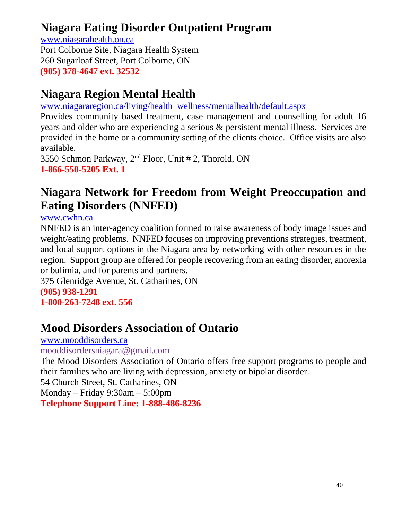## **Niagara Eating Disorder Outpatient Program**

[www.niagarahealth.on.ca](http://www.niagarahealth.on.ca/) Port Colborne Site, Niagara Health System 260 Sugarloaf Street, Port Colborne, ON **(905) 378-4647 ext. 32532**

## **Niagara Region Mental Health**

[www.niagararegion.ca/living/health\\_wellness/mentalhealth/default.aspx](http://www.niagararegion.ca/living/health_wellness/mentalhealth/default.aspx)

Provides community based treatment, case management and counselling for adult 16 years and older who are experiencing a serious & persistent mental illness. Services are provided in the home or a community setting of the clients choice. Office visits are also available.

3550 Schmon Parkway, 2nd Floor, Unit # 2, Thorold, ON **1-866-550-5205 Ext. 1**

## **Niagara Network for Freedom from Weight Preoccupation and Eating Disorders (NNFED)**

[www.cwhn.ca](http://www.cwhn.ca/)

NNFED is an inter-agency coalition formed to raise awareness of body image issues and weight/eating problems. NNFED focuses on improving preventions strategies, treatment, and local support options in the Niagara area by networking with other resources in the region. Support group are offered for people recovering from an eating disorder, anorexia or bulimia, and for parents and partners.

375 Glenridge Avenue, St. Catharines, ON

## **(905) 938-1291**

**1-800-263-7248 ext. 556**

## **Mood Disorders Association of Ontario**

[www.mooddisorders.ca](http://www.mooddisorders.ca/)

[mooddisordersniagara@gmail.com](mailto:mooddisordersniagara@gmail.com)

The Mood Disorders Association of Ontario offers free support programs to people and their families who are living with depression, anxiety or bipolar disorder.

54 Church Street, St. Catharines, ON

Monday – Friday 9:30am – 5:00pm

**Telephone Support Line: 1-888-486-8236**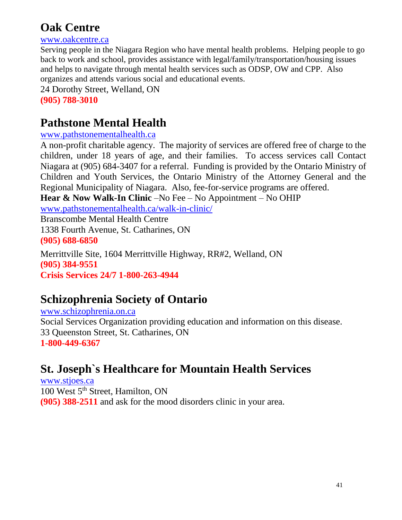## **Oak Centre**

[www.oakcentre.ca](http://www.oakcentre.ca/)

Serving people in the Niagara Region who have mental health problems. Helping people to go back to work and school, provides assistance with legal/family/transportation/housing issues and helps to navigate through mental health services such as ODSP, OW and CPP. Also organizes and attends various social and educational events. 24 Dorothy Street, Welland, ON

**(905) 788-3010**

## **Pathstone Mental Health**

#### [www.pathstonementalhealth.ca](http://www.pathstonementalhealth.ca/)

A non-profit charitable agency. The majority of services are offered free of charge to the children, under 18 years of age, and their families. To access services call Contact Niagara at (905) 684-3407 for a referral. Funding is provided by the Ontario Ministry of Children and Youth Services, the Ontario Ministry of the Attorney General and the Regional Municipality of Niagara. Also, fee-for-service programs are offered.

**Hear & Now Walk-In Clinic** –No Fee – No Appointment – No OHIP

[www.pathstonementalhealth.ca/walk-in-clinic/](http://www.pathstonementalhealth.ca/walk-in-clinic/)

Branscombe Mental Health Centre 1338 Fourth Avenue, St. Catharines, ON **(905) 688-6850**

Merrittville Site, 1604 Merrittville Highway, RR#2, Welland, ON **(905) 384-9551 Crisis Services 24/7 1-800-263-4944**

## **Schizophrenia Society of Ontario**

[www.schizophrenia.on.ca](http://www.schizophrenia.on.ca/) Social Services Organization providing education and information on this disease. 33 Queenston Street, St. Catharines, ON **1-800-449-6367**

## **St. Joseph`s Healthcare for Mountain Health Services**

[www.stjoes.ca](http://www.stjoes.ca/) 100 West 5<sup>th</sup> Street, Hamilton, ON **(905) 388-2511** and ask for the mood disorders clinic in your area.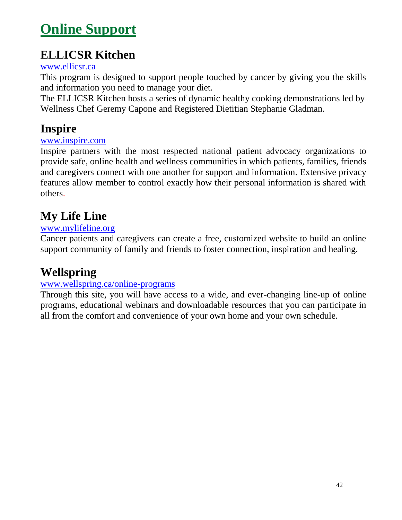# <span id="page-41-0"></span>**Online Support**

## **ELLICSR Kitchen**

#### www.ellicsr.ca

This program is designed to support people touched by cancer by giving you the skills and information you need to manage your diet.

The ELLICSR Kitchen hosts a series of dynamic healthy cooking demonstrations led by Wellness Chef Geremy Capone and Registered Dietitian Stephanie Gladman.

### **Inspire**

#### [www.inspire.com](http://www.inspire.com/)

Inspire partners with the most respected national patient advocacy organizations to provide safe, online health and wellness communities in which patients, families, friends and caregivers connect with one another for support and information. Extensive privacy features allow member to control exactly how their personal information is shared with others.

## **My Life Line**

#### [www.mylifeline.org](http://www.mylifeline.org/)

Cancer patients and caregivers can create a free, customized website to build an online support community of family and friends to foster connection, inspiration and healing.

## **Wellspring**

#### [www.wellspring.ca/online-programs](http://www.wellspring.ca/online-programs)

Through this site, you will have access to a wide, and ever-changing line-up of online programs, educational webinars and downloadable resources that you can participate in all from the comfort and convenience of your own home and your own schedule.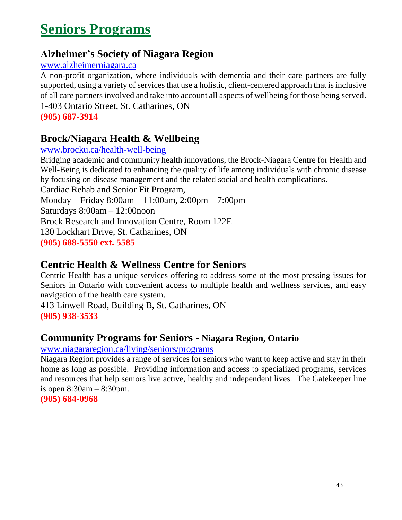# <span id="page-42-0"></span>**Seniors Programs**

### **Alzheimer's Society of Niagara Region**

#### [www.alzheimerniagara.ca](http://www.alzheimerniagara.ca/)

A non-profit organization, where individuals with dementia and their care partners are fully supported, using a variety of services that use a holistic, client-centered approach that is inclusive of all care partners involved and take into account all aspects of wellbeing for those being served. 1-403 Ontario Street, St. Catharines, ON

**(905) 687-3914**

### **Brock/Niagara Health & Wellbeing**

#### [www.brocku.ca/health-well-being](http://www.brocku.ca/health-well-being)

Bridging academic and community health innovations, the Brock-Niagara Centre for Health and Well-Being is dedicated to enhancing the quality of life among individuals with chronic disease by focusing on disease management and the related social and health complications.

Cardiac Rehab and Senior Fit Program,

Monday – Friday 8:00am – 11:00am, 2:00pm – 7:00pm

Saturdays 8:00am – 12:00noon

Brock Research and Innovation Centre, Room 122E

130 Lockhart Drive, St. Catharines, ON

**(905) 688-5550 ext. 5585**

### **Centric Health & Wellness Centre for Seniors**

Centric Health has a unique services offering to address some of the most pressing issues for Seniors in Ontario with convenient access to multiple health and wellness services, and easy navigation of the health care system.

413 Linwell Road, Building B, St. Catharines, ON **(905) 938-3533**

### **Community Programs for Seniors - Niagara Region, Ontario**

#### [www.niagararegion.ca/living/seniors/programs](http://www.niagararegion.ca/living/seniors/programs)

Niagara Region provides a range of services for seniors who want to keep active and stay in their home as long as possible. Providing information and access to specialized programs, services and resources that help seniors live active, healthy and independent lives. The Gatekeeper line is open 8:30am – 8:30pm.

**(905) 684-0968**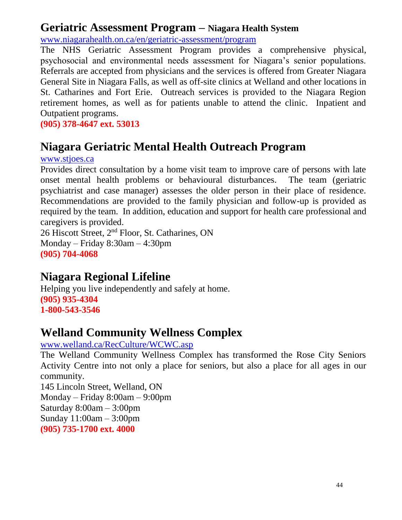### <span id="page-43-0"></span>**Geriatric Assessment Program – Niagara Health System**

[www.niagarahealth.on.ca/en/geriatric-assessment/program](http://www.niagarahealth.on.ca/en/geriatric-assessment/program)

The NHS Geriatric Assessment Program provides a comprehensive physical, psychosocial and environmental needs assessment for Niagara's senior populations. Referrals are accepted from physicians and the services is offered from Greater Niagara General Site in Niagara Falls, as well as off-site clinics at Welland and other locations in St. Catharines and Fort Erie. Outreach services is provided to the Niagara Region retirement homes, as well as for patients unable to attend the clinic. Inpatient and Outpatient programs.

**(905) 378-4647 ext. 53013**

### **Niagara Geriatric Mental Health Outreach Program**

[www.stjoes.ca](http://www.stjoes.ca/)

Provides direct consultation by a home visit team to improve care of persons with late onset mental health problems or behavioural disturbances. The team (geriatric psychiatrist and case manager) assesses the older person in their place of residence. Recommendations are provided to the family physician and follow-up is provided as required by the team. In addition, education and support for health care professional and caregivers is provided.

26 Hiscott Street, 2nd Floor, St. Catharines, ON Monday – Friday 8:30am – 4:30pm **(905) 704-4068**

### **Niagara Regional Lifeline**

Helping you live independently and safely at home. **(905) 935-4304 1-800-543-3546**

### **Welland Community Wellness Complex**

[www.welland.ca/RecCulture/WCWC.asp](http://www.welland.ca/RecCulture/WCWC.asp)

The Welland Community Wellness Complex has transformed the Rose City Seniors Activity Centre into not only a place for seniors, but also a place for all ages in our community.

145 Lincoln Street, Welland, ON Monday – Friday 8:00am – 9:00pm Saturday 8:00am – 3:00pm Sunday 11:00am – 3:00pm **(905) 735-1700 ext. 4000**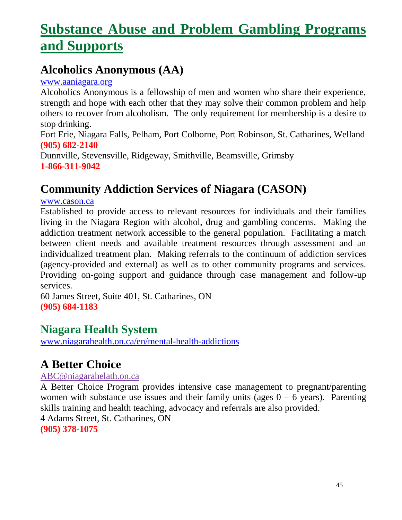# **[Substance Abuse and Problem Gambling Programs](#page-43-0)  and Supports**

## **Alcoholics Anonymous (AA)**

[www.aaniagara.org](http://www.aaniagara.org/)

Alcoholics Anonymous is a fellowship of men and women who share their experience, strength and hope with each other that they may solve their common problem and help others to recover from alcoholism. The only requirement for membership is a desire to stop drinking.

Fort Erie, Niagara Falls, Pelham, Port Colborne, Port Robinson, St. Catharines, Welland **(905) 682-2140**

Dunnville, Stevensville, Ridgeway, Smithville, Beamsville, Grimsby **1-866-311-9042**

## **Community Addiction Services of Niagara (CASON)**

[www.cason.ca](http://www.cason.ca/)

Established to provide access to relevant resources for individuals and their families living in the Niagara Region with alcohol, drug and gambling concerns. Making the addiction treatment network accessible to the general population. Facilitating a match between client needs and available treatment resources through assessment and an individualized treatment plan. Making referrals to the continuum of addiction services (agency-provided and external) as well as to other community programs and services. Providing on-going support and guidance through case management and follow-up services.

60 James Street, Suite 401, St. Catharines, ON **(905) 684-1183**

### **Niagara Health System**

[www.niagarahealth.on.ca/en/mental-health-addictions](http://www.niagarahealth.on.ca/en/mental-health-addictions)

## **A Better Choice**

[ABC@niagarahelath.on.ca](mailto:ABC@niagarahelath.on.ca)

A Better Choice Program provides intensive case management to pregnant/parenting women with substance use issues and their family units (ages  $0 - 6$  years). Parenting skills training and health teaching, advocacy and referrals are also provided. 4 Adams Street, St. Catharines, ON **(905) 378-1075**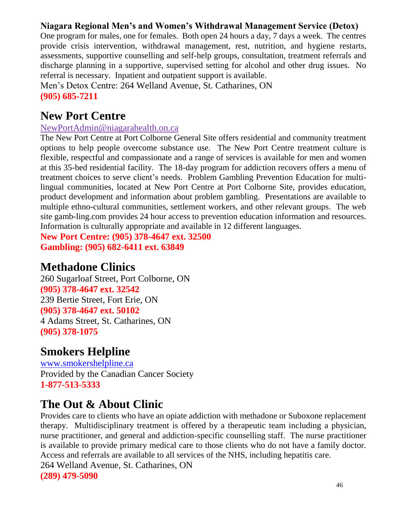#### **Niagara Regional Men's and Women's Withdrawal Management Service (Detox)**

One program for males, one for females. Both open 24 hours a day, 7 days a week. The centres provide crisis intervention, withdrawal management, rest, nutrition, and hygiene restarts, assessments, supportive counselling and self-help groups, consultation, treatment referrals and discharge planning in a supportive, supervised setting for alcohol and other drug issues. No referral is necessary. Inpatient and outpatient support is available.

Men's Detox Centre: 264 Welland Avenue, St. Catharines, ON **(905) 685-7211**

### **New Port Centre**

[NewPortAdmin@niagarahealth.on.ca](mailto:NewPortAdmin@niagarahealth.on.ca)

The New Port Centre at Port Colborne General Site offers residential and community treatment options to help people overcome substance use. The New Port Centre treatment culture is flexible, respectful and compassionate and a range of services is available for men and women at this 35-bed residential facility. The 18-day program for addiction recovers offers a menu of treatment choices to serve client's needs. Problem Gambling Prevention Education for multilingual communities, located at New Port Centre at Port Colborne Site, provides education, product development and information about problem gambling. Presentations are available to multiple ethno-cultural communities, settlement workers, and other relevant groups. The web site gamb-ling.com provides 24 hour access to prevention education information and resources. Information is culturally appropriate and available in 12 different languages.

**New Port Centre: (905) 378-4647 ext. 32500 Gambling: (905) 682-6411 ext. 63849**

### **Methadone Clinics**

260 Sugarloaf Street, Port Colborne, ON **(905) 378-4647 ext. 32542** 239 Bertie Street, Fort Erie, ON **(905) 378-4647 ext. 50102** 4 Adams Street, St. Catharines, ON **(905) 378-1075**

### **Smokers Helpline**

[www.smokershelpline.ca](http://www.smokershelpline.ca/) Provided by the Canadian Cancer Society **1-877-513-5333**

## **The Out & About Clinic**

Provides care to clients who have an opiate addiction with methadone or Suboxone replacement therapy. Multidisciplinary treatment is offered by a therapeutic team including a physician, nurse practitioner, and general and addiction-specific counselling staff. The nurse practitioner is available to provide primary medical care to those clients who do not have a family doctor. Access and referrals are available to all services of the NHS, including hepatitis care. 264 Welland Avenue, St. Catharines, ON **(289) 479-5090**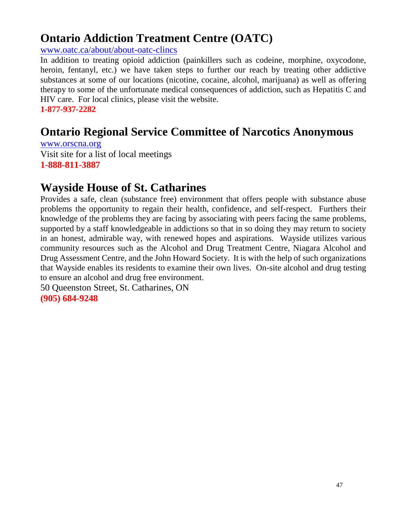## **Ontario Addiction Treatment Centre (OATC)**

[www.oatc.ca/about/about-oatc-clincs](http://www.oatc.ca/about/about-oatc-clincs)

In addition to treating opioid addiction (painkillers such as codeine, morphine, oxycodone, heroin, fentanyl, etc.) we have taken steps to further our reach by treating other addictive substances at some of our locations (nicotine, cocaine, alcohol, marijuana) as well as offering therapy to some of the unfortunate medical consequences of addiction, such as Hepatitis C and HIV care. For local clinics, please visit the website.

**1-877-937-2282**

## **Ontario Regional Service Committee of Narcotics Anonymous**

[www.orscna.org](http://www.orscna.org/) Visit site for a list of local meetings **1-888-811-3887**

### **Wayside House of St. Catharines**

Provides a safe, clean (substance free) environment that offers people with substance abuse problems the opportunity to regain their health, confidence, and self-respect. Furthers their knowledge of the problems they are facing by associating with peers facing the same problems, supported by a staff knowledgeable in addictions so that in so doing they may return to society in an honest, admirable way, with renewed hopes and aspirations. Wayside utilizes various community resources such as the Alcohol and Drug Treatment Centre, Niagara Alcohol and Drug Assessment Centre, and the John Howard Society. It is with the help of such organizations that Wayside enables its residents to examine their own lives. On-site alcohol and drug testing to ensure an alcohol and drug free environment.

50 Queenston Street, St. Catharines, ON **(905) 684-9248**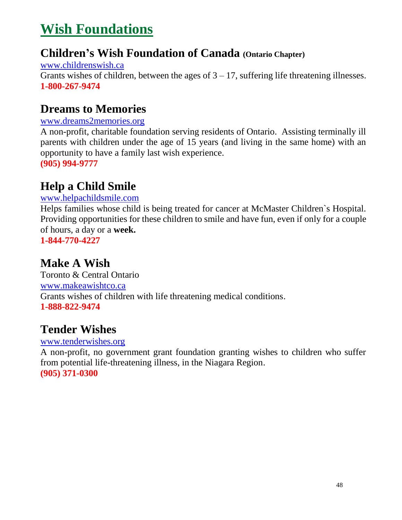# <span id="page-47-0"></span>**Wish Foundations**

### **Children's Wish Foundation of Canada (Ontario Chapter)**

[www.childrenswish.ca](http://www.childrenswish.ca/) Grants wishes of children, between the ages of  $3 - 17$ , suffering life threatening illnesses. **1-800-267-9474**

### **Dreams to Memories**

#### [www.dreams2memories.org](http://www.dreams2memories.org/)

A non-profit, charitable foundation serving residents of Ontario. Assisting terminally ill parents with children under the age of 15 years (and living in the same home) with an opportunity to have a family last wish experience. **(905) 994-9777**

## **Help a Child Smile**

#### [www.helpachildsmile.com](http://www.helpachildsmile.com/)

Helps families whose child is being treated for cancer at McMaster Children`s Hospital. Providing opportunities for these children to smile and have fun, even if only for a couple of hours, a day or a **week.**

**1-844-770-4227**

### **Make A Wish**

Toronto & Central Ontario [www.makeawishtco.ca](http://www.makeawishtco.ca/) Grants wishes of children with life threatening medical conditions. **1-888-822-9474**

### **Tender Wishes**

#### [www.tenderwishes.org](http://www.tenderwishes.org/)

A non-profit, no government grant foundation granting wishes to children who suffer from potential life-threatening illness, in the Niagara Region. **(905) 371-0300**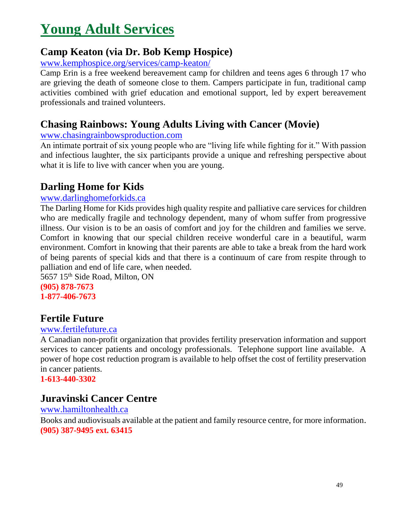# <span id="page-48-0"></span>**Young Adult Services**

#### **Camp Keaton (via Dr. Bob Kemp Hospice)**

www.kemphospice.org/services/camp-keaton/

Camp Erin is a free weekend bereavement camp for children and teens ages 6 through 17 who are grieving the death of someone close to them. Campers participate in fun, traditional camp activities combined with grief education and emotional support, led by expert bereavement professionals and trained volunteers.

### **Chasing Rainbows: Young Adults Living with Cancer (Movie)**

#### [www.chasingrainbowsproduction.com](http://www.chasingrainbowsproduction.com/)

An intimate portrait of six young people who are "living life while fighting for it." With passion and infectious laughter, the six participants provide a unique and refreshing perspective about what it is life to live with cancer when you are young.

#### **Darling Home for Kids**

#### [www.darlinghomeforkids.ca](http://www.darlinghomeforkids.ca/)

The Darling Home for Kids provides high quality respite and palliative care services for children who are medically fragile and technology dependent, many of whom suffer from progressive illness. Our vision is to be an oasis of comfort and joy for the children and families we serve. Comfort in knowing that our special children receive wonderful care in a beautiful, warm environment. Comfort in knowing that their parents are able to take a break from the hard work of being parents of special kids and that there is a continuum of care from respite through to palliation and end of life care, when needed.

5657 15<sup>th</sup> Side Road, Milton, ON **(905) 878-7673 1-877-406-7673**

### **Fertile Future**

#### [www.fertilefuture.ca](http://www.fertilefuture.ca/)

A Canadian non-profit organization that provides fertility preservation information and support services to cancer patients and oncology professionals. Telephone support line available. A power of hope cost reduction program is available to help offset the cost of fertility preservation in cancer patients.

**1-613-440-3302**

### **Juravinski Cancer Centre**

#### [www.hamiltonhealth.ca](http://www.hamiltonhealth.ca/) Books and audiovisuals available at the patient and family resource centre, for more information. **(905) 387-9495 ext. 63415**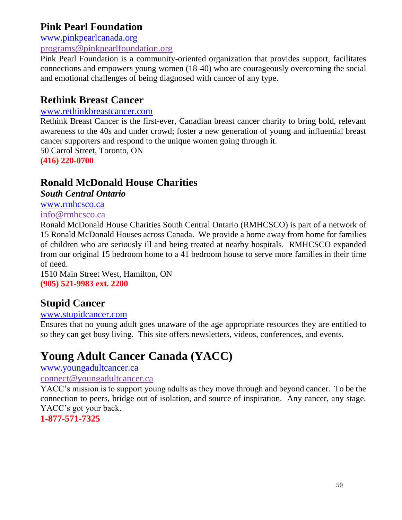#### **Pink Pearl Foundation**

[www.pinkpearlcanada.org](http://www.pinkpearlcanada.org/)

[programs@pinkpearlfoundation.org](mailto:programs@pinkpearlfoundation.org)

Pink Pearl Foundation is a community-oriented organization that provides support, facilitates connections and empowers young women (18-40) who are courageously overcoming the social and emotional challenges of being diagnosed with cancer of any type.

#### **Rethink Breast Cancer**

#### [www.rethinkbreastcancer.com](http://www.rethinkbreastcancer.com/)

Rethink Breast Cancer is the first-ever, Canadian breast cancer charity to bring bold, relevant awareness to the 40s and under crowd; foster a new generation of young and influential breast cancer supporters and respond to the unique women going through it.

50 Carrol Street, Toronto, ON

**(416) 220-0700**

### **Ronald McDonald House Charities**

*South Central Ontario*

[www.rmhcsco.ca](http://www.rmhcsco.ca/)

[info@rmhcsco.ca](mailto:info@rmhcsco.ca)

Ronald McDonald House Charities South Central Ontario (RMHCSCO) is part of a network of 15 Ronald McDonald Houses across Canada. We provide a home away from home for families of children who are seriously ill and being treated at nearby hospitals. RMHCSCO expanded from our original 15 bedroom home to a 41 bedroom house to serve more families in their time of need.

1510 Main Street West, Hamilton, ON **(905) 521-9983 ext. 2200**

### **Stupid Cancer**

#### [www.stupidcancer.com](http://www.stupidcancer.com/)

Ensures that no young adult goes unaware of the age appropriate resources they are entitled to so they can get busy living. This site offers newsletters, videos, conferences, and events.

## **Young Adult Cancer Canada (YACC)**

[www.youngadultcancer.ca](http://www.youngadultcancer.ca/)

#### [connect@youngadultcancer.ca](mailto:connect@youngadultcancer.ca)

YACC's mission is to support young adults as they move through and beyond cancer. To be the connection to peers, bridge out of isolation, and source of inspiration. Any cancer, any stage. YACC's got your back.

#### **1-877-571-7325**